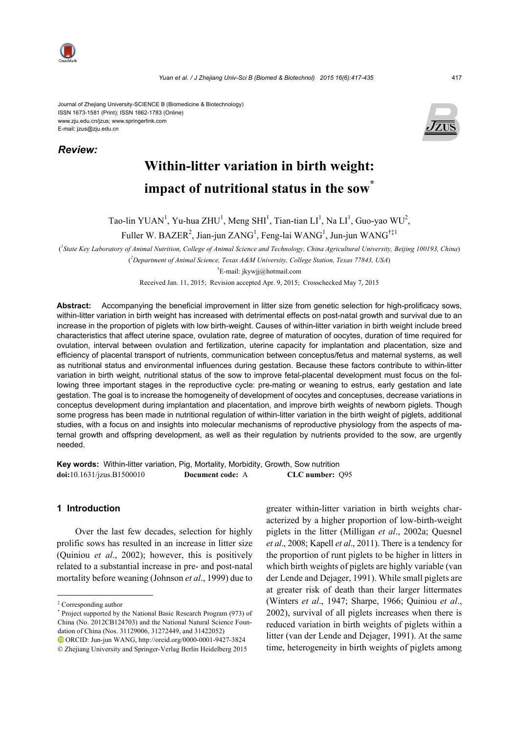

Journal of Zhejiang University-SCIENCE B (Biomedicine & Biotechnology) ISSN 1673-1581 (Print); ISSN 1862-1783 (Online) www.zju.edu.cn/jzus; www.springerlink.com E-mail: jzus@zju.edu.cn

*Review:*



# **Within-litter variation in birth weight: impact of nutritional status in the sow\***

Tao-lin YUAN<sup>1</sup>, Yu-hua ZHU<sup>1</sup>, Meng SHI<sup>1</sup>, Tian-tian LI<sup>1</sup>, Na LI<sup>1</sup>, Guo-yao WU<sup>2</sup>,

Fuller W. BAZER<sup>2</sup>, Jian-jun ZANG<sup>1</sup>, Feng-lai WANG<sup>1</sup>, Jun-jun WANG<sup>†‡1</sup>

( *1 State Key Laboratory of Animal Nutrition, College of Animal Science and Technology, China Agricultural University, Beijing 100193, China*) ( *2 Department of Animal Science, Texas A&M University, College Station, Texas 77843, USA*)

† E-mail: jkywjj@hotmail.com

Received Jan. 11, 2015; Revision accepted Apr. 9, 2015; Crosschecked May 7, 2015

**Abstract:** Accompanying the beneficial improvement in litter size from genetic selection for high-prolificacy sows, within-litter variation in birth weight has increased with detrimental effects on post-natal growth and survival due to an increase in the proportion of piglets with low birth-weight. Causes of within-litter variation in birth weight include breed characteristics that affect uterine space, ovulation rate, degree of maturation of oocytes, duration of time required for ovulation, interval between ovulation and fertilization, uterine capacity for implantation and placentation, size and efficiency of placental transport of nutrients, communication between conceptus/fetus and maternal systems, as well as nutritional status and environmental influences during gestation. Because these factors contribute to within-litter variation in birth weight, nutritional status of the sow to improve fetal-placental development must focus on the following three important stages in the reproductive cycle: pre-mating or weaning to estrus, early gestation and late gestation. The goal is to increase the homogeneity of development of oocytes and conceptuses, decrease variations in conceptus development during implantation and placentation, and improve birth weights of newborn piglets. Though some progress has been made in nutritional regulation of within-litter variation in the birth weight of piglets, additional studies, with a focus on and insights into molecular mechanisms of reproductive physiology from the aspects of maternal growth and offspring development, as well as their regulation by nutrients provided to the sow, are urgently needed.

**Key words:** Within-litter variation, Pig, Mortality, Morbidity, Growth, Sow nutrition **doi:**10.1631/jzus.B1500010 **Document code:** A **CLC number:** Q95

## **1 Introduction**

Over the last few decades, selection for highly prolific sows has resulted in an increase in litter size (Quiniou *et al*., 2002); however, this is positively related to a substantial increase in pre- and post-natal mortality before weaning (Johnson *et al*., 1999) due to

greater within-litter variation in birth weights characterized by a higher proportion of low-birth-weight piglets in the litter (Milligan *et al*., 2002a; Quesnel *et al*., 2008; Kapell *et al*., 2011). There is a tendency for the proportion of runt piglets to be higher in litters in which birth weights of piglets are highly variable (van der Lende and Dejager, 1991). While small piglets are at greater risk of death than their larger littermates (Winters *et al*., 1947; Sharpe, 1966; Quiniou *et al*., 2002), survival of all piglets increases when there is reduced variation in birth weights of piglets within a litter (van der Lende and Dejager, 1991). At the same time, heterogeneity in birth weights of piglets among

<sup>‡</sup> Corresponding author

<sup>\*</sup> Project supported by the National Basic Research Program (973) of China (No. 2012CB124703) and the National Natural Science Foundation of China (Nos. 31129006, 31272449, and 31422052)

ORCID: Jun-jun WANG, http://orcid.org/0000-0001-9427-3824 © Zhejiang University and Springer-Verlag Berlin Heidelberg 2015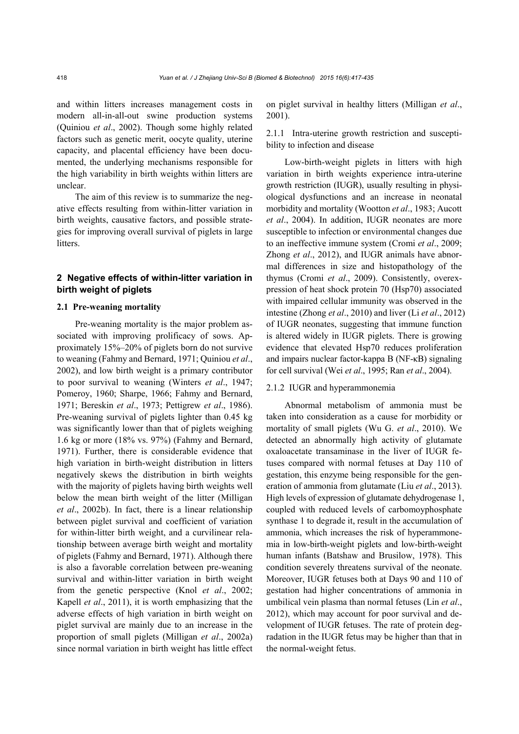and within litters increases management costs in modern all-in-all-out swine production systems (Quiniou *et al*., 2002). Though some highly related factors such as genetic merit, oocyte quality, uterine capacity, and placental efficiency have been documented, the underlying mechanisms responsible for the high variability in birth weights within litters are unclear.

The aim of this review is to summarize the negative effects resulting from within-litter variation in birth weights, causative factors, and possible strategies for improving overall survival of piglets in large litters.

## **2 Negative effects of within-litter variation in birth weight of piglets**

#### **2.1 Pre-weaning mortality**

Pre-weaning mortality is the major problem associated with improving prolificacy of sows. Approximately 15%–20% of piglets born do not survive to weaning (Fahmy and Bernard, 1971; Quiniou *et al*., 2002), and low birth weight is a primary contributor to poor survival to weaning (Winters *et al*., 1947; Pomeroy, 1960; Sharpe, 1966; Fahmy and Bernard, 1971; Bereskin *et al*., 1973; Pettigrew *et al*., 1986). Pre-weaning survival of piglets lighter than 0.45 kg was significantly lower than that of piglets weighing 1.6 kg or more (18% vs. 97%) (Fahmy and Bernard, 1971). Further, there is considerable evidence that high variation in birth-weight distribution in litters negatively skews the distribution in birth weights with the majority of piglets having birth weights well below the mean birth weight of the litter (Milligan *et al*., 2002b). In fact, there is a linear relationship between piglet survival and coefficient of variation for within-litter birth weight, and a curvilinear relationship between average birth weight and mortality of piglets (Fahmy and Bernard, 1971). Although there is also a favorable correlation between pre-weaning survival and within-litter variation in birth weight from the genetic perspective (Knol *et al*., 2002; Kapell *et al*., 2011), it is worth emphasizing that the adverse effects of high variation in birth weight on piglet survival are mainly due to an increase in the proportion of small piglets (Milligan *et al*., 2002a) since normal variation in birth weight has little effect on piglet survival in healthy litters (Milligan *et al*., 2001).

2.1.1 Intra-uterine growth restriction and susceptibility to infection and disease

Low-birth-weight piglets in litters with high variation in birth weights experience intra-uterine growth restriction (IUGR), usually resulting in physiological dysfunctions and an increase in neonatal morbidity and mortality (Wootton *et al*., 1983; Aucott *et al*., 2004). In addition, IUGR neonates are more susceptible to infection or environmental changes due to an ineffective immune system (Cromi *et al*., 2009; Zhong *et al*., 2012), and IUGR animals have abnormal differences in size and histopathology of the thymus (Cromi *et al*., 2009). Consistently, overexpression of heat shock protein 70 (Hsp70) associated with impaired cellular immunity was observed in the intestine (Zhong *et al*., 2010) and liver (Li *et al*., 2012) of IUGR neonates, suggesting that immune function is altered widely in IUGR piglets. There is growing evidence that elevated Hsp70 reduces proliferation and impairs nuclear factor-kappa B (NF-κB) signaling for cell survival (Wei *et al*., 1995; Ran *et al*., 2004).

#### 2.1.2 IUGR and hyperammonemia

Abnormal metabolism of ammonia must be taken into consideration as a cause for morbidity or mortality of small piglets (Wu G. *et al*., 2010). We detected an abnormally high activity of glutamate oxaloacetate transaminase in the liver of IUGR fetuses compared with normal fetuses at Day 110 of gestation, this enzyme being responsible for the generation of ammonia from glutamate (Liu *et al*., 2013). High levels of expression of glutamate dehydrogenase 1, coupled with reduced levels of carbomoyphosphate synthase 1 to degrade it, result in the accumulation of ammonia, which increases the risk of hyperammonemia in low-birth-weight piglets and low-birth-weight human infants (Batshaw and Brusilow, 1978). This condition severely threatens survival of the neonate. Moreover, IUGR fetuses both at Days 90 and 110 of gestation had higher concentrations of ammonia in umbilical vein plasma than normal fetuses (Lin *et al*., 2012), which may account for poor survival and development of IUGR fetuses. The rate of protein degradation in the IUGR fetus may be higher than that in the normal-weight fetus.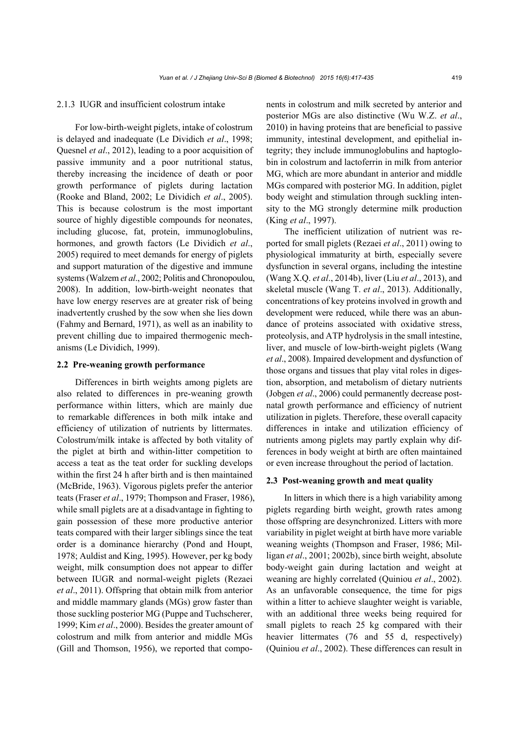#### 2.1.3 IUGR and insufficient colostrum intake

For low-birth-weight piglets, intake of colostrum is delayed and inadequate (Le Dividich *et al*., 1998; Quesnel *et al*., 2012), leading to a poor acquisition of passive immunity and a poor nutritional status, thereby increasing the incidence of death or poor growth performance of piglets during lactation (Rooke and Bland, 2002; Le Dividich *et al*., 2005). This is because colostrum is the most important source of highly digestible compounds for neonates, including glucose, fat, protein, immunoglobulins, hormones, and growth factors (Le Dividich *et al*., 2005) required to meet demands for energy of piglets and support maturation of the digestive and immune systems (Walzem *et al*., 2002; Politis and Chronopoulou, 2008). In addition, low-birth-weight neonates that have low energy reserves are at greater risk of being inadvertently crushed by the sow when she lies down (Fahmy and Bernard, 1971), as well as an inability to prevent chilling due to impaired thermogenic mechanisms (Le Dividich, 1999).

#### **2.2 Pre-weaning growth performance**

Differences in birth weights among piglets are also related to differences in pre-weaning growth performance within litters, which are mainly due to remarkable differences in both milk intake and efficiency of utilization of nutrients by littermates. Colostrum/milk intake is affected by both vitality of the piglet at birth and within-litter competition to access a teat as the teat order for suckling develops within the first 24 h after birth and is then maintained (McBride, 1963). Vigorous piglets prefer the anterior teats (Fraser *et al*., 1979; Thompson and Fraser, 1986), while small piglets are at a disadvantage in fighting to gain possession of these more productive anterior teats compared with their larger siblings since the teat order is a dominance hierarchy (Pond and Houpt, 1978; Auldist and King, 1995). However, per kg body weight, milk consumption does not appear to differ between IUGR and normal-weight piglets (Rezaei *et al*., 2011). Offspring that obtain milk from anterior and middle mammary glands (MGs) grow faster than those suckling posterior MG (Puppe and Tuchscherer, 1999; Kim *et al*., 2000). Besides the greater amount of colostrum and milk from anterior and middle MGs (Gill and Thomson, 1956), we reported that components in colostrum and milk secreted by anterior and posterior MGs are also distinctive (Wu W.Z. *et al*., 2010) in having proteins that are beneficial to passive immunity, intestinal development, and epithelial integrity; they include immunoglobulins and haptoglobin in colostrum and lactoferrin in milk from anterior MG, which are more abundant in anterior and middle MGs compared with posterior MG. In addition, piglet body weight and stimulation through suckling intensity to the MG strongly determine milk production (King *et al*., 1997).

The inefficient utilization of nutrient was reported for small piglets (Rezaei *et al*., 2011) owing to physiological immaturity at birth, especially severe dysfunction in several organs, including the intestine (Wang X.Q. *et al*., 2014b), liver (Liu *et al*., 2013), and skeletal muscle (Wang T. *et al*., 2013). Additionally, concentrations of key proteins involved in growth and development were reduced, while there was an abundance of proteins associated with oxidative stress, proteolysis, and ATP hydrolysis in the small intestine, liver, and muscle of low-birth-weight piglets (Wang *et al*., 2008). Impaired development and dysfunction of those organs and tissues that play vital roles in digestion, absorption, and metabolism of dietary nutrients (Jobgen *et al*., 2006) could permanently decrease postnatal growth performance and efficiency of nutrient utilization in piglets. Therefore, these overall capacity differences in intake and utilization efficiency of nutrients among piglets may partly explain why differences in body weight at birth are often maintained or even increase throughout the period of lactation.

#### **2.3 Post-weaning growth and meat quality**

In litters in which there is a high variability among piglets regarding birth weight, growth rates among those offspring are desynchronized. Litters with more variability in piglet weight at birth have more variable weaning weights (Thompson and Fraser, 1986; Milligan *et al*., 2001; 2002b), since birth weight, absolute body-weight gain during lactation and weight at weaning are highly correlated (Quiniou *et al*., 2002). As an unfavorable consequence, the time for pigs within a litter to achieve slaughter weight is variable, with an additional three weeks being required for small piglets to reach 25 kg compared with their heavier littermates (76 and 55 d, respectively) (Quiniou *et al*., 2002). These differences can result in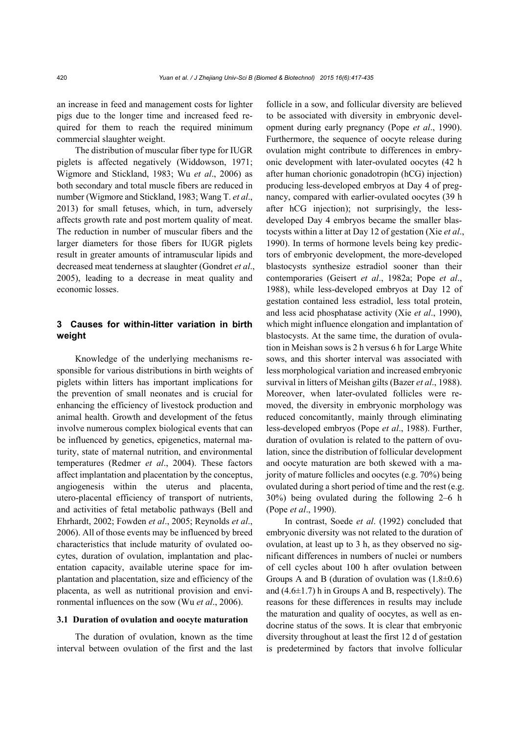an increase in feed and management costs for lighter pigs due to the longer time and increased feed required for them to reach the required minimum commercial slaughter weight.

The distribution of muscular fiber type for IUGR piglets is affected negatively (Widdowson, 1971; Wigmore and Stickland, 1983; Wu *et al*., 2006) as both secondary and total muscle fibers are reduced in number (Wigmore and Stickland, 1983; Wang T. *et al*., 2013) for small fetuses, which, in turn, adversely affects growth rate and post mortem quality of meat. The reduction in number of muscular fibers and the larger diameters for those fibers for IUGR piglets result in greater amounts of intramuscular lipids and decreased meat tenderness at slaughter (Gondret *et al*., 2005), leading to a decrease in meat quality and economic losses.

## **3 Causes for within-litter variation in birth weight**

Knowledge of the underlying mechanisms responsible for various distributions in birth weights of piglets within litters has important implications for the prevention of small neonates and is crucial for enhancing the efficiency of livestock production and animal health. Growth and development of the fetus involve numerous complex biological events that can be influenced by genetics, epigenetics, maternal maturity, state of maternal nutrition, and environmental temperatures (Redmer *et al*., 2004). These factors affect implantation and placentation by the conceptus, angiogenesis within the uterus and placenta, utero-placental efficiency of transport of nutrients, and activities of fetal metabolic pathways (Bell and Ehrhardt, 2002; Fowden *et al*., 2005; Reynolds *et al*., 2006). All of those events may be influenced by breed characteristics that include maturity of ovulated oocytes, duration of ovulation, implantation and placentation capacity, available uterine space for implantation and placentation, size and efficiency of the placenta, as well as nutritional provision and environmental influences on the sow (Wu *et al*., 2006).

#### **3.1 Duration of ovulation and oocyte maturation**

The duration of ovulation, known as the time interval between ovulation of the first and the last follicle in a sow, and follicular diversity are believed to be associated with diversity in embryonic development during early pregnancy (Pope *et al*., 1990). Furthermore, the sequence of oocyte release during ovulation might contribute to differences in embryonic development with later-ovulated oocytes (42 h after human chorionic gonadotropin (hCG) injection) producing less-developed embryos at Day 4 of pregnancy, compared with earlier-ovulated oocytes (39 h after hCG injection); not surprisingly, the lessdeveloped Day 4 embryos became the smaller blastocysts within a litter at Day 12 of gestation (Xie *et al*., 1990). In terms of hormone levels being key predictors of embryonic development, the more-developed blastocysts synthesize estradiol sooner than their contemporaries (Geisert *et al*., 1982a; Pope *et al*., 1988), while less-developed embryos at Day 12 of gestation contained less estradiol, less total protein, and less acid phosphatase activity (Xie *et al*., 1990), which might influence elongation and implantation of blastocysts. At the same time, the duration of ovulation in Meishan sows is 2 h versus 6 h for Large White sows, and this shorter interval was associated with less morphological variation and increased embryonic survival in litters of Meishan gilts (Bazer *et al*., 1988). Moreover, when later-ovulated follicles were removed, the diversity in embryonic morphology was reduced concomitantly, mainly through eliminating less-developed embryos (Pope *et al*., 1988). Further, duration of ovulation is related to the pattern of ovulation, since the distribution of follicular development and oocyte maturation are both skewed with a majority of mature follicles and oocytes (e.g. 70%) being ovulated during a short period of time and the rest (e.g. 30%) being ovulated during the following 2–6 h (Pope *et al*., 1990).

In contrast, Soede *et al*. (1992) concluded that embryonic diversity was not related to the duration of ovulation, at least up to 3 h, as they observed no significant differences in numbers of nuclei or numbers of cell cycles about 100 h after ovulation between Groups A and B (duration of ovulation was  $(1.8\pm0.6)$ ) and  $(4.6\pm1.7)$  h in Groups A and B, respectively). The reasons for these differences in results may include the maturation and quality of oocytes, as well as endocrine status of the sows. It is clear that embryonic diversity throughout at least the first 12 d of gestation is predetermined by factors that involve follicular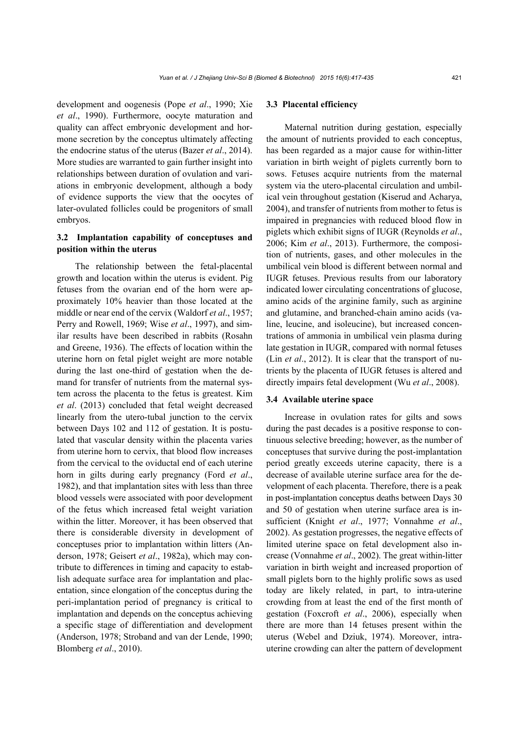development and oogenesis (Pope *et al*., 1990; Xie *et al*., 1990). Furthermore, oocyte maturation and quality can affect embryonic development and hormone secretion by the conceptus ultimately affecting the endocrine status of the uterus (Bazer *et al*., 2014). More studies are warranted to gain further insight into relationships between duration of ovulation and variations in embryonic development, although a body of evidence supports the view that the oocytes of later-ovulated follicles could be progenitors of small embryos.

## **3.2 Implantation capability of conceptuses and position within the uterus**

The relationship between the fetal-placental growth and location within the uterus is evident. Pig fetuses from the ovarian end of the horn were approximately 10% heavier than those located at the middle or near end of the cervix (Waldorf *et al*., 1957; Perry and Rowell, 1969; Wise *et al*., 1997), and similar results have been described in rabbits (Rosahn and Greene, 1936). The effects of location within the uterine horn on fetal piglet weight are more notable during the last one-third of gestation when the demand for transfer of nutrients from the maternal system across the placenta to the fetus is greatest. Kim *et al*. (2013) concluded that fetal weight decreased linearly from the utero-tubal junction to the cervix between Days 102 and 112 of gestation. It is postulated that vascular density within the placenta varies from uterine horn to cervix, that blood flow increases from the cervical to the oviductal end of each uterine horn in gilts during early pregnancy (Ford *et al*., 1982), and that implantation sites with less than three blood vessels were associated with poor development of the fetus which increased fetal weight variation within the litter. Moreover, it has been observed that there is considerable diversity in development of conceptuses prior to implantation within litters (Anderson, 1978; Geisert *et al*., 1982a), which may contribute to differences in timing and capacity to establish adequate surface area for implantation and placentation, since elongation of the conceptus during the peri-implantation period of pregnancy is critical to implantation and depends on the conceptus achieving a specific stage of differentiation and development (Anderson, 1978; Stroband and van der Lende, 1990; Blomberg *et al*., 2010).

#### **3.3 Placental efficiency**

Maternal nutrition during gestation, especially the amount of nutrients provided to each conceptus, has been regarded as a major cause for within-litter variation in birth weight of piglets currently born to sows. Fetuses acquire nutrients from the maternal system via the utero-placental circulation and umbilical vein throughout gestation (Kiserud and Acharya, 2004), and transfer of nutrients from mother to fetus is impaired in pregnancies with reduced blood flow in piglets which exhibit signs of IUGR (Reynolds *et al*., 2006; Kim *et al*., 2013). Furthermore, the composition of nutrients, gases, and other molecules in the umbilical vein blood is different between normal and IUGR fetuses. Previous results from our laboratory indicated lower circulating concentrations of glucose, amino acids of the arginine family, such as arginine and glutamine, and branched-chain amino acids (valine, leucine, and isoleucine), but increased concentrations of ammonia in umbilical vein plasma during late gestation in IUGR, compared with normal fetuses (Lin *et al*., 2012). It is clear that the transport of nutrients by the placenta of IUGR fetuses is altered and directly impairs fetal development (Wu *et al*., 2008).

#### **3.4 Available uterine space**

Increase in ovulation rates for gilts and sows during the past decades is a positive response to continuous selective breeding; however, as the number of conceptuses that survive during the post-implantation period greatly exceeds uterine capacity, there is a decrease of available uterine surface area for the development of each placenta. Therefore, there is a peak in post-implantation conceptus deaths between Days 30 and 50 of gestation when uterine surface area is insufficient (Knight *et al*., 1977; Vonnahme *et al*., 2002). As gestation progresses, the negative effects of limited uterine space on fetal development also increase (Vonnahme *et al*., 2002). The great within-litter variation in birth weight and increased proportion of small piglets born to the highly prolific sows as used today are likely related, in part, to intra-uterine crowding from at least the end of the first month of gestation (Foxcroft *et al*., 2006), especially when there are more than 14 fetuses present within the uterus (Webel and Dziuk, 1974). Moreover, intrauterine crowding can alter the pattern of development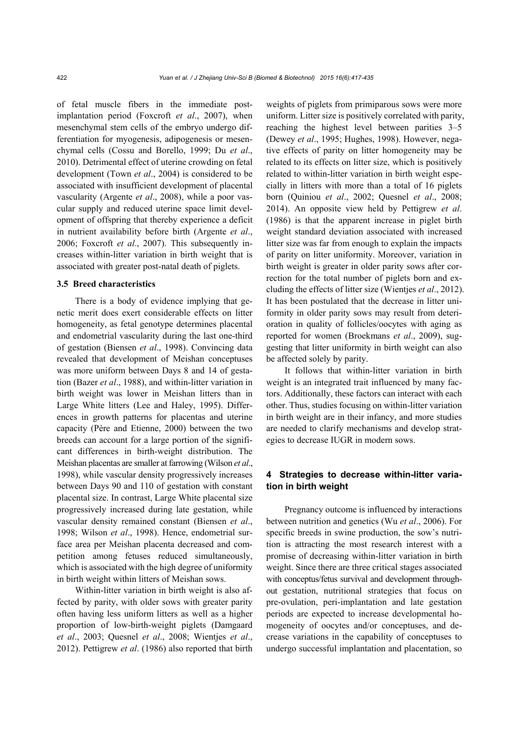of fetal muscle fibers in the immediate postimplantation period (Foxcroft *et al*., 2007), when mesenchymal stem cells of the embryo undergo differentiation for myogenesis, adipogenesis or mesenchymal cells (Cossu and Borello, 1999; Du *et al*., 2010). Detrimental effect of uterine crowding on fetal development (Town *et al*., 2004) is considered to be associated with insufficient development of placental vascularity (Argente *et al*., 2008), while a poor vascular supply and reduced uterine space limit development of offspring that thereby experience a deficit in nutrient availability before birth (Argente *et al*., 2006; Foxcroft *et al*., 2007). This subsequently increases within-litter variation in birth weight that is associated with greater post-natal death of piglets.

#### **3.5 Breed characteristics**

There is a body of evidence implying that genetic merit does exert considerable effects on litter homogeneity, as fetal genotype determines placental and endometrial vascularity during the last one-third of gestation (Biensen *et al*., 1998). Convincing data revealed that development of Meishan conceptuses was more uniform between Days 8 and 14 of gestation (Bazer *et al*., 1988), and within-litter variation in birth weight was lower in Meishan litters than in Large White litters (Lee and Haley, 1995). Differences in growth patterns for placentas and uterine capacity (Père and Etienne, 2000) between the two breeds can account for a large portion of the significant differences in birth-weight distribution. The Meishan placentas are smaller at farrowing (Wilson *et al*., 1998), while vascular density progressively increases between Days 90 and 110 of gestation with constant placental size. In contrast, Large White placental size progressively increased during late gestation, while vascular density remained constant (Biensen *et al*., 1998; Wilson *et al*., 1998). Hence, endometrial surface area per Meishan placenta decreased and competition among fetuses reduced simultaneously, which is associated with the high degree of uniformity in birth weight within litters of Meishan sows.

Within-litter variation in birth weight is also affected by parity, with older sows with greater parity often having less uniform litters as well as a higher proportion of low-birth-weight piglets (Damgaard *et al*., 2003; Quesnel *et al*., 2008; Wientjes *et al*., 2012). Pettigrew *et al*. (1986) also reported that birth

weights of piglets from primiparous sows were more uniform. Litter size is positively correlated with parity, reaching the highest level between parities 3–5 (Dewey *et al*., 1995; Hughes, 1998). However, negative effects of parity on litter homogeneity may be related to its effects on litter size, which is positively related to within-litter variation in birth weight especially in litters with more than a total of 16 piglets born (Quiniou *et al*., 2002; Quesnel *et al*., 2008; 2014). An opposite view held by Pettigrew *et al*. (1986) is that the apparent increase in piglet birth weight standard deviation associated with increased litter size was far from enough to explain the impacts of parity on litter uniformity. Moreover, variation in birth weight is greater in older parity sows after correction for the total number of piglets born and excluding the effects of litter size (Wientjes *et al*., 2012). It has been postulated that the decrease in litter uniformity in older parity sows may result from deterioration in quality of follicles/oocytes with aging as reported for women (Broekmans *et al*., 2009), suggesting that litter uniformity in birth weight can also be affected solely by parity.

It follows that within-litter variation in birth weight is an integrated trait influenced by many factors. Additionally, these factors can interact with each other. Thus, studies focusing on within-litter variation in birth weight are in their infancy, and more studies are needed to clarify mechanisms and develop strategies to decrease IUGR in modern sows.

## **4 Strategies to decrease within-litter variation in birth weight**

Pregnancy outcome is influenced by interactions between nutrition and genetics (Wu *et al*., 2006). For specific breeds in swine production, the sow's nutrition is attracting the most research interest with a promise of decreasing within-litter variation in birth weight. Since there are three critical stages associated with conceptus/fetus survival and development throughout gestation, nutritional strategies that focus on pre-ovulation, peri-implantation and late gestation periods are expected to increase developmental homogeneity of oocytes and/or conceptuses, and decrease variations in the capability of conceptuses to undergo successful implantation and placentation, so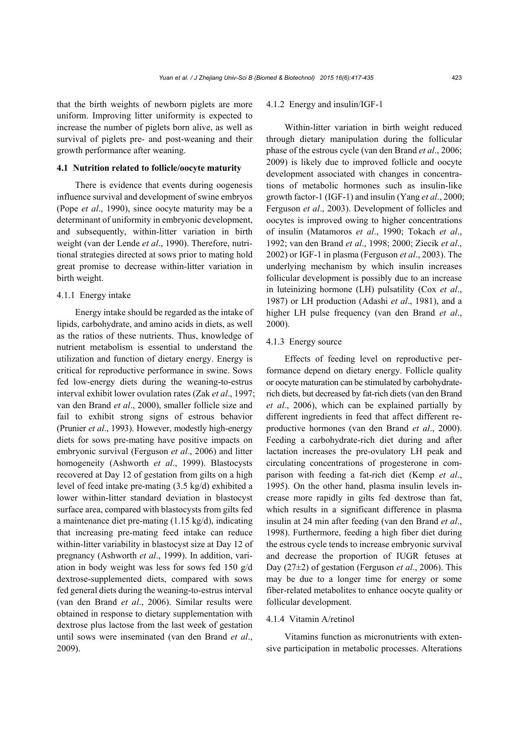that the birth weights of newborn piglets are more uniform. Improving litter uniformity is expected to increase the number of piglets born alive, as well as survival of piglets pre- and post-weaning and their growth performance after weaning.

#### **4.1 Nutrition related to follicle/oocyte maturity**

There is evidence that events during oogenesis influence survival and development of swine embryos (Pope *et al*., 1990), since oocyte maturity may be a determinant of uniformity in embryonic development, and subsequently, within-litter variation in birth weight (van der Lende *et al*., 1990). Therefore, nutritional strategies directed at sows prior to mating hold great promise to decrease within-litter variation in birth weight.

#### 4.1.1 Energy intake

Energy intake should be regarded as the intake of lipids, carbohydrate, and amino acids in diets, as well as the ratios of these nutrients. Thus, knowledge of nutrient metabolism is essential to understand the utilization and function of dietary energy. Energy is critical for reproductive performance in swine. Sows fed low-energy diets during the weaning-to-estrus interval exhibit lower ovulation rates (Zak *et al*., 1997; van den Brand *et al*., 2000), smaller follicle size and fail to exhibit strong signs of estrous behavior (Prunier *et al*., 1993). However, modestly high-energy diets for sows pre-mating have positive impacts on embryonic survival (Ferguson *et al*., 2006) and litter homogeneity (Ashworth *et al*., 1999). Blastocysts recovered at Day 12 of gestation from gilts on a high level of feed intake pre-mating (3.5 kg/d) exhibited a lower within-litter standard deviation in blastocyst surface area, compared with blastocysts from gilts fed a maintenance diet pre-mating (1.15 kg/d), indicating that increasing pre-mating feed intake can reduce within-litter variability in blastocyst size at Day 12 of pregnancy (Ashworth *et al*., 1999). In addition, variation in body weight was less for sows fed 150 g/d dextrose-supplemented diets, compared with sows fed general diets during the weaning-to-estrus interval (van den Brand *et al*., 2006). Similar results were obtained in response to dietary supplementation with dextrose plus lactose from the last week of gestation until sows were inseminated (van den Brand *et al*., 2009).

#### 4.1.2 Energy and insulin/IGF-1

Within-litter variation in birth weight reduced through dietary manipulation during the follicular phase of the estrous cycle (van den Brand *et al*., 2006; 2009) is likely due to improved follicle and oocyte development associated with changes in concentrations of metabolic hormones such as insulin-like growth factor-1 (IGF-1) and insulin (Yang *et al*., 2000; Ferguson *et al*., 2003). Development of follicles and oocytes is improved owing to higher concentrations of insulin (Matamoros *et al*., 1990; Tokach *et al*., 1992; van den Brand *et al*., 1998; 2000; Ziecik *et al*., 2002) or IGF-1 in plasma (Ferguson *et al*., 2003). The underlying mechanism by which insulin increases follicular development is possibly due to an increase in luteinizing hormone (LH) pulsatility (Cox *et al*., 1987) or LH production (Adashi *et al*., 1981), and a higher LH pulse frequency (van den Brand *et al*., 2000).

## 4.1.3 Energy source

Effects of feeding level on reproductive performance depend on dietary energy. Follicle quality or oocyte maturation can be stimulated by carbohydraterich diets, but decreased by fat-rich diets (van den Brand *et al*., 2006), which can be explained partially by different ingredients in feed that affect different reproductive hormones (van den Brand *et al*., 2000). Feeding a carbohydrate-rich diet during and after lactation increases the pre-ovulatory LH peak and circulating concentrations of progesterone in comparison with feeding a fat-rich diet (Kemp *et al*., 1995). On the other hand, plasma insulin levels increase more rapidly in gilts fed dextrose than fat, which results in a significant difference in plasma insulin at 24 min after feeding (van den Brand *et al*., 1998). Furthermore, feeding a high fiber diet during the estrous cycle tends to increase embryonic survival and decrease the proportion of IUGR fetuses at Day (27±2) of gestation (Ferguson *et al*., 2006). This may be due to a longer time for energy or some fiber-related metabolites to enhance oocyte quality or follicular development.

#### 4.1.4 Vitamin A/retinol

Vitamins function as micronutrients with extensive participation in metabolic processes. Alterations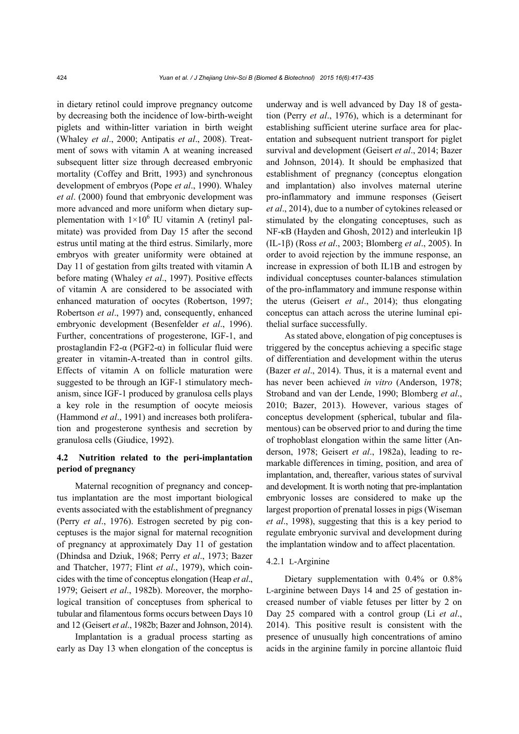in dietary retinol could improve pregnancy outcome by decreasing both the incidence of low-birth-weight piglets and within-litter variation in birth weight (Whaley *et al*., 2000; Antipatis *et al*., 2008). Treatment of sows with vitamin A at weaning increased subsequent litter size through decreased embryonic mortality (Coffey and Britt, 1993) and synchronous development of embryos (Pope *et al*., 1990). Whaley *et al*. (2000) found that embryonic development was more advanced and more uniform when dietary supplementation with  $1\times10^6$  IU vitamin A (retinyl palmitate) was provided from Day 15 after the second estrus until mating at the third estrus. Similarly, more embryos with greater uniformity were obtained at Day 11 of gestation from gilts treated with vitamin A before mating (Whaley *et al*., 1997). Positive effects of vitamin A are considered to be associated with enhanced maturation of oocytes (Robertson, 1997; Robertson *et al*., 1997) and, consequently, enhanced embryonic development (Besenfelder *et al*., 1996). Further, concentrations of progesterone, IGF-1, and prostaglandin F2-α (PGF2-α) in follicular fluid were greater in vitamin-A-treated than in control gilts. Effects of vitamin A on follicle maturation were suggested to be through an IGF-1 stimulatory mechanism, since IGF-1 produced by granulosa cells plays a key role in the resumption of oocyte meiosis (Hammond *et al*., 1991) and increases both proliferation and progesterone synthesis and secretion by granulosa cells (Giudice, 1992).

## **4.2 Nutrition related to the peri-implantation period of pregnancy**

Maternal recognition of pregnancy and conceptus implantation are the most important biological events associated with the establishment of pregnancy (Perry *et al*., 1976). Estrogen secreted by pig conceptuses is the major signal for maternal recognition of pregnancy at approximately Day 11 of gestation (Dhindsa and Dziuk, 1968; Perry *et al*., 1973; Bazer and Thatcher, 1977; Flint *et al*., 1979), which coincides with the time of conceptus elongation (Heap *et al*., 1979; Geisert *et al*., 1982b). Moreover, the morphological transition of conceptuses from spherical to tubular and filamentous forms occurs between Days 10 and 12 (Geisert *et al*., 1982b; Bazer and Johnson, 2014).

Implantation is a gradual process starting as early as Day 13 when elongation of the conceptus is underway and is well advanced by Day 18 of gestation (Perry *et al*., 1976), which is a determinant for establishing sufficient uterine surface area for placentation and subsequent nutrient transport for piglet survival and development (Geisert *et al*., 2014; Bazer and Johnson, 2014). It should be emphasized that establishment of pregnancy (conceptus elongation and implantation) also involves maternal uterine pro-inflammatory and immune responses (Geisert *et al*., 2014), due to a number of cytokines released or stimulated by the elongating conceptuses, such as NF-κB (Hayden and Ghosh, 2012) and interleukin 1β (IL-1β) (Ross *et al*., 2003; Blomberg *et al*., 2005). In order to avoid rejection by the immune response, an increase in expression of both IL1B and estrogen by individual conceptuses counter-balances stimulation of the pro-inflammatory and immune response within the uterus (Geisert *et al*., 2014); thus elongating conceptus can attach across the uterine luminal epithelial surface successfully.

As stated above, elongation of pig conceptuses is triggered by the conceptus achieving a specific stage of differentiation and development within the uterus (Bazer *et al*., 2014). Thus, it is a maternal event and has never been achieved *in vitro* (Anderson, 1978; Stroband and van der Lende, 1990; Blomberg *et al*., 2010; Bazer, 2013). However, various stages of conceptus development (spherical, tubular and filamentous) can be observed prior to and during the time of trophoblast elongation within the same litter (Anderson, 1978; Geisert *et al*., 1982a), leading to remarkable differences in timing, position, and area of implantation, and, thereafter, various states of survival and development. It is worth noting that pre-implantation embryonic losses are considered to make up the largest proportion of prenatal losses in pigs (Wiseman *et al*., 1998), suggesting that this is a key period to regulate embryonic survival and development during the implantation window and to affect placentation.

#### 4.2.1 L-Arginine

Dietary supplementation with 0.4% or 0.8% L-arginine between Days 14 and 25 of gestation increased number of viable fetuses per litter by 2 on Day 25 compared with a control group (Li *et al*., 2014). This positive result is consistent with the presence of unusually high concentrations of amino acids in the arginine family in porcine allantoic fluid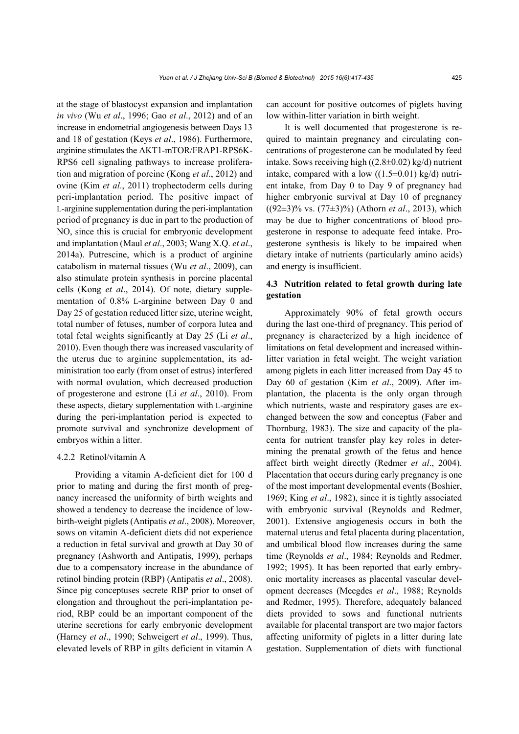at the stage of blastocyst expansion and implantation *in vivo* (Wu *et al*., 1996; Gao *et al*., 2012) and of an increase in endometrial angiogenesis between Days 13 and 18 of gestation (Keys *et al*., 1986). Furthermore, arginine stimulates the AKT1-mTOR/FRAP1-RPS6K-RPS6 cell signaling pathways to increase proliferation and migration of porcine (Kong *et al*., 2012) and ovine (Kim *et al*., 2011) trophectoderm cells during peri-implantation period. The positive impact of L-arginine supplementation during the peri-implantation period of pregnancy is due in part to the production of NO, since this is crucial for embryonic development and implantation (Maul *et al*., 2003; Wang X.Q. *et al*., 2014a). Putrescine, which is a product of arginine catabolism in maternal tissues (Wu *et al*., 2009), can also stimulate protein synthesis in porcine placental cells (Kong *et al*., 2014). Of note, dietary supplementation of 0.8% L-arginine between Day 0 and Day 25 of gestation reduced litter size, uterine weight, total number of fetuses, number of corpora lutea and total fetal weights significantly at Day 25 (Li *et al*., 2010). Even though there was increased vascularity of the uterus due to arginine supplementation, its administration too early (from onset of estrus) interfered with normal ovulation, which decreased production of progesterone and estrone (Li *et al*., 2010). From these aspects, dietary supplementation with L-arginine during the peri-implantation period is expected to promote survival and synchronize development of embryos within a litter.

#### 4.2.2 Retinol/vitamin A

Providing a vitamin A-deficient diet for 100 d prior to mating and during the first month of pregnancy increased the uniformity of birth weights and showed a tendency to decrease the incidence of lowbirth-weight piglets (Antipatis *et al*., 2008). Moreover, sows on vitamin A-deficient diets did not experience a reduction in fetal survival and growth at Day 30 of pregnancy (Ashworth and Antipatis, 1999), perhaps due to a compensatory increase in the abundance of retinol binding protein (RBP) (Antipatis *et al*., 2008). Since pig conceptuses secrete RBP prior to onset of elongation and throughout the peri-implantation period, RBP could be an important component of the uterine secretions for early embryonic development (Harney *et al*., 1990; Schweigert *et al*., 1999). Thus, elevated levels of RBP in gilts deficient in vitamin A

can account for positive outcomes of piglets having low within-litter variation in birth weight.

It is well documented that progesterone is required to maintain pregnancy and circulating concentrations of progesterone can be modulated by feed intake. Sows receiving high ((2.8±0.02) kg/d) nutrient intake, compared with a low  $((1.5\pm0.01) \text{ kg/d})$  nutrient intake, from Day 0 to Day 9 of pregnancy had higher embryonic survival at Day 10 of pregnancy ((92±3)% vs. (77±3)%) (Athorn *et al*., 2013), which may be due to higher concentrations of blood progesterone in response to adequate feed intake. Progesterone synthesis is likely to be impaired when dietary intake of nutrients (particularly amino acids) and energy is insufficient.

## **4.3 Nutrition related to fetal growth during late gestation**

Approximately 90% of fetal growth occurs during the last one-third of pregnancy. This period of pregnancy is characterized by a high incidence of limitations on fetal development and increased withinlitter variation in fetal weight. The weight variation among piglets in each litter increased from Day 45 to Day 60 of gestation (Kim *et al*., 2009). After implantation, the placenta is the only organ through which nutrients, waste and respiratory gases are exchanged between the sow and conceptus (Faber and Thornburg, 1983). The size and capacity of the placenta for nutrient transfer play key roles in determining the prenatal growth of the fetus and hence affect birth weight directly (Redmer *et al*., 2004). Placentation that occurs during early pregnancy is one of the most important developmental events (Boshier, 1969; King *et al*., 1982), since it is tightly associated with embryonic survival (Reynolds and Redmer, 2001). Extensive angiogenesis occurs in both the maternal uterus and fetal placenta during placentation, and umbilical blood flow increases during the same time (Reynolds *et al*., 1984; Reynolds and Redmer, 1992; 1995). It has been reported that early embryonic mortality increases as placental vascular development decreases (Meegdes *et al*., 1988; Reynolds and Redmer, 1995). Therefore, adequately balanced diets provided to sows and functional nutrients available for placental transport are two major factors affecting uniformity of piglets in a litter during late gestation. Supplementation of diets with functional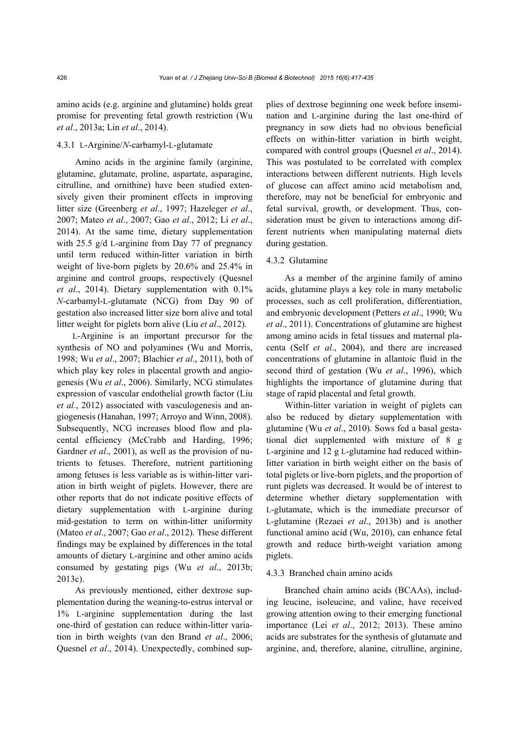amino acids (e.g. arginine and glutamine) holds great promise for preventing fetal growth restriction (Wu *et al*., 2013a; Lin *et al*., 2014).

## 4.3.1 L-Arginine/*N*-carbamyl-L-glutamate

Amino acids in the arginine family (arginine, glutamine, glutamate, proline, aspartate, asparagine, citrulline, and ornithine) have been studied extensively given their prominent effects in improving litter size (Greenberg *et al*., 1997; Hazeleger *et al*., 2007; Mateo *et al*., 2007; Gao *et al*., 2012; Li *et al*., 2014). At the same time, dietary supplementation with 25.5 g/d L-arginine from Day 77 of pregnancy until term reduced within-litter variation in birth weight of live-born piglets by 20.6% and 25.4% in arginine and control groups, respectively (Quesnel *et al*., 2014). Dietary supplementation with 0.1% *N*-carbamyl-L-glutamate (NCG) from Day 90 of gestation also increased litter size born alive and total litter weight for piglets born alive (Liu *et al*., 2012).

L-Arginine is an important precursor for the synthesis of NO and polyamines (Wu and Morris, 1998; Wu *et al*., 2007; Blachier *et al*., 2011), both of which play key roles in placental growth and angiogenesis (Wu *et al*., 2006). Similarly, NCG stimulates expression of vascular endothelial growth factor (Liu *et al*., 2012) associated with vasculogenesis and angiogenesis (Hanahan, 1997; Arroyo and Winn, 2008). Subsequently, NCG increases blood flow and placental efficiency (McCrabb and Harding, 1996; Gardner *et al.*, 2001), as well as the provision of nutrients to fetuses. Therefore, nutrient partitioning among fetuses is less variable as is within-litter variation in birth weight of piglets. However, there are other reports that do not indicate positive effects of dietary supplementation with L-arginine during mid-gestation to term on within-litter uniformity (Mateo *et al*., 2007; Gao *et al*., 2012). These different findings may be explained by differences in the total amounts of dietary L-arginine and other amino acids consumed by gestating pigs (Wu *et al*., 2013b; 2013c).

As previously mentioned, either dextrose supplementation during the weaning-to-estrus interval or 1% L-arginine supplementation during the last one-third of gestation can reduce within-litter variation in birth weights (van den Brand *et al*., 2006; Quesnel *et al*., 2014). Unexpectedly, combined supplies of dextrose beginning one week before insemination and L-arginine during the last one-third of pregnancy in sow diets had no obvious beneficial effects on within-litter variation in birth weight, compared with control groups (Quesnel *et al*., 2014). This was postulated to be correlated with complex interactions between different nutrients. High levels of glucose can affect amino acid metabolism and, therefore, may not be beneficial for embryonic and fetal survival, growth, or development. Thus, consideration must be given to interactions among different nutrients when manipulating maternal diets during gestation.

#### 4.3.2 Glutamine

As a member of the arginine family of amino acids, glutamine plays a key role in many metabolic processes, such as cell proliferation, differentiation, and embryonic development (Petters *et al*., 1990; Wu *et al*., 2011). Concentrations of glutamine are highest among amino acids in fetal tissues and maternal placenta (Self *et al*., 2004), and there are increased concentrations of glutamine in allantoic fluid in the second third of gestation (Wu *et al*., 1996), which highlights the importance of glutamine during that stage of rapid placental and fetal growth.

Within-litter variation in weight of piglets can also be reduced by dietary supplementation with glutamine (Wu *et al*., 2010). Sows fed a basal gestational diet supplemented with mixture of 8 g L-arginine and 12 g L-glutamine had reduced withinlitter variation in birth weight either on the basis of total piglets or live-born piglets, and the proportion of runt piglets was decreased. It would be of interest to determine whether dietary supplementation with L-glutamate, which is the immediate precursor of L-glutamine (Rezaei *et al*., 2013b) and is another functional amino acid (Wu, 2010), can enhance fetal growth and reduce birth-weight variation among piglets.

#### 4.3.3 Branched chain amino acids

Branched chain amino acids (BCAAs), including leucine, isoleucine, and valine, have received growing attention owing to their emerging functional importance (Lei *et al*., 2012; 2013). These amino acids are substrates for the synthesis of glutamate and arginine, and, therefore, alanine, citrulline, arginine,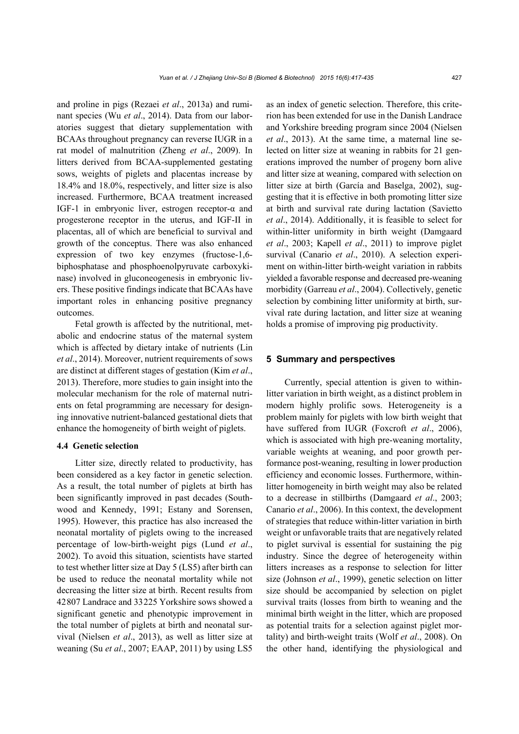and proline in pigs (Rezaei *et al*., 2013a) and ruminant species (Wu *et al*., 2014). Data from our laboratories suggest that dietary supplementation with BCAAs throughout pregnancy can reverse IUGR in a rat model of malnutrition (Zheng *et al*., 2009). In litters derived from BCAA-supplemented gestating sows, weights of piglets and placentas increase by 18.4% and 18.0%, respectively, and litter size is also increased. Furthermore, BCAA treatment increased IGF-1 in embryonic liver, estrogen receptor-α and progesterone receptor in the uterus, and IGF-II in placentas, all of which are beneficial to survival and growth of the conceptus. There was also enhanced expression of two key enzymes (fructose-1,6 biphosphatase and phosphoenolpyruvate carboxykinase) involved in gluconeogenesis in embryonic livers. These positive findings indicate that BCAAs have important roles in enhancing positive pregnancy outcomes.

Fetal growth is affected by the nutritional, metabolic and endocrine status of the maternal system which is affected by dietary intake of nutrients (Lin *et al*., 2014). Moreover, nutrient requirements of sows are distinct at different stages of gestation (Kim *et al*., 2013). Therefore, more studies to gain insight into the molecular mechanism for the role of maternal nutrients on fetal programming are necessary for designing innovative nutrient-balanced gestational diets that enhance the homogeneity of birth weight of piglets.

## **4.4 Genetic selection**

Litter size, directly related to productivity, has been considered as a key factor in genetic selection. As a result, the total number of piglets at birth has been significantly improved in past decades (Southwood and Kennedy, 1991; Estany and Sorensen, 1995). However, this practice has also increased the neonatal mortality of piglets owing to the increased percentage of low-birth-weight pigs (Lund *et al*., 2002). To avoid this situation, scientists have started to test whether litter size at Day 5 (LS5) after birth can be used to reduce the neonatal mortality while not decreasing the litter size at birth. Recent results from 42807 Landrace and 33225 Yorkshire sows showed a significant genetic and phenotypic improvement in the total number of piglets at birth and neonatal survival (Nielsen *et al*., 2013), as well as litter size at weaning (Su *et al*., 2007; EAAP, 2011) by using LS5 as an index of genetic selection. Therefore, this criterion has been extended for use in the Danish Landrace and Yorkshire breeding program since 2004 (Nielsen *et al*., 2013). At the same time, a maternal line selected on litter size at weaning in rabbits for 21 generations improved the number of progeny born alive and litter size at weaning, compared with selection on litter size at birth (García and Baselga, 2002), suggesting that it is effective in both promoting litter size at birth and survival rate during lactation (Savietto *et al*., 2014). Additionally, it is feasible to select for within-litter uniformity in birth weight (Damgaard *et al*., 2003; Kapell *et al*., 2011) to improve piglet survival (Canario *et al*., 2010). A selection experiment on within-litter birth-weight variation in rabbits yielded a favorable response and decreased pre-weaning morbidity (Garreau *et al*., 2004). Collectively, genetic selection by combining litter uniformity at birth, survival rate during lactation, and litter size at weaning holds a promise of improving pig productivity.

#### **5 Summary and perspectives**

Currently, special attention is given to withinlitter variation in birth weight, as a distinct problem in modern highly prolific sows. Heterogeneity is a problem mainly for piglets with low birth weight that have suffered from IUGR (Foxcroft *et al*., 2006), which is associated with high pre-weaning mortality, variable weights at weaning, and poor growth performance post-weaning, resulting in lower production efficiency and economic losses. Furthermore, withinlitter homogeneity in birth weight may also be related to a decrease in stillbirths (Damgaard *et al*., 2003; Canario *et al*., 2006). In this context, the development of strategies that reduce within-litter variation in birth weight or unfavorable traits that are negatively related to piglet survival is essential for sustaining the pig industry. Since the degree of heterogeneity within litters increases as a response to selection for litter size (Johnson *et al*., 1999), genetic selection on litter size should be accompanied by selection on piglet survival traits (losses from birth to weaning and the minimal birth weight in the litter, which are proposed as potential traits for a selection against piglet mortality) and birth-weight traits (Wolf *et al*., 2008). On the other hand, identifying the physiological and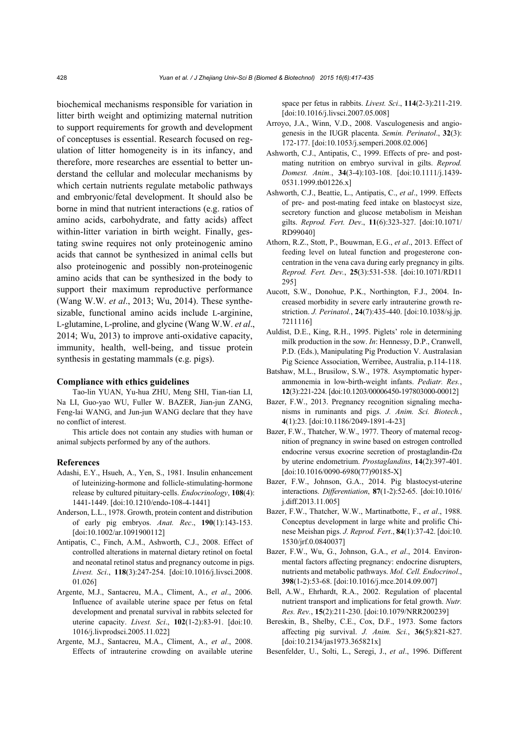biochemical mechanisms responsible for variation in litter birth weight and optimizing maternal nutrition to support requirements for growth and development of conceptuses is essential. Research focused on regulation of litter homogeneity is in its infancy, and therefore, more researches are essential to better understand the cellular and molecular mechanisms by which certain nutrients regulate metabolic pathways and embryonic/fetal development. It should also be borne in mind that nutrient interactions (e.g. ratios of amino acids, carbohydrate, and fatty acids) affect within-litter variation in birth weight. Finally, gestating swine requires not only proteinogenic amino acids that cannot be synthesized in animal cells but also proteinogenic and possibly non-proteinogenic amino acids that can be synthesized in the body to support their maximum reproductive performance (Wang W.W. *et al*., 2013; Wu, 2014). These synthesizable, functional amino acids include L-arginine, L-glutamine, L-proline, and glycine (Wang W.W. *et al*., 2014; Wu, 2013) to improve anti-oxidative capacity, immunity, health, well-being, and tissue protein synthesis in gestating mammals (e.g. pigs).

#### **Compliance with ethics guidelines**

Tao-lin YUAN, Yu-hua ZHU, Meng SHI, Tian-tian LI, Na LI, Guo-yao WU, Fuller W. BAZER, Jian-jun ZANG, Feng-lai WANG, and Jun-jun WANG declare that they have no conflict of interest.

This article does not contain any studies with human or animal subjects performed by any of the authors.

#### **References**

- Adashi, E.Y., Hsueh, A., Yen, S., 1981. Insulin enhancement of luteinizing-hormone and follicle-stimulating-hormone release by cultured pituitary-cells. *Endocrinology*, **108**(4): 1441-1449. [doi:10.1210/endo-108-4-1441]
- Anderson, L.L., 1978. Growth, protein content and distribution of early pig embryos. *Anat. Rec*., **190**(1):143-153. [doi:10.1002/ar.1091900112]
- Antipatis, C., Finch, A.M., Ashworth, C.J., 2008. Effect of controlled alterations in maternal dietary retinol on foetal and neonatal retinol status and pregnancy outcome in pigs. *Livest. Sci*., **118**(3):247-254. [doi:10.1016/j.livsci.2008. 01.026]
- Argente, M.J., Santacreu, M.A., Climent, A., *et al*., 2006. Influence of available uterine space per fetus on fetal development and prenatal survival in rabbits selected for uterine capacity. *Livest. Sci*., **102**(1-2):83-91. [doi:10. 1016/j.livprodsci.2005.11.022]
- Argente, M.J., Santacreu, M.A., Climent, A., *et al*., 2008. Effects of intrauterine crowding on available uterine

space per fetus in rabbits. *Livest. Sci*., **114**(2-3):211-219. [doi:10.1016/j.livsci.2007.05.008]

- Arroyo, J.A., Winn, V.D., 2008. Vasculogenesis and angiogenesis in the IUGR placenta. *Semin. Perinatol*., **32**(3): 172-177. [doi:10.1053/j.semperi.2008.02.006]
- Ashworth, C.J., Antipatis, C., 1999. Effects of pre- and postmating nutrition on embryo survival in gilts. *Reprod. Domest. Anim.*, **34**(3-4):103-108. [doi:10.1111/j.1439- 0531.1999.tb01226.x]
- Ashworth, C.J., Beattie, L., Antipatis, C., *et al*., 1999. Effects of pre- and post-mating feed intake on blastocyst size, secretory function and glucose metabolism in Meishan gilts. *Reprod. Fert. Dev*., **11**(6):323-327. [doi:10.1071/ RD99040]
- Athorn, R.Z., Stott, P., Bouwman, E.G., *et al*., 2013. Effect of feeding level on luteal function and progesterone concentration in the vena cava during early pregnancy in gilts. *Reprod. Fert. Dev.*, **25**(3):531-538. [doi:10.1071/RD11 295]
- Aucott, S.W., Donohue, P.K., Northington, F.J., 2004. Increased morbidity in severe early intrauterine growth restriction. *J. Perinatol.*, **24**(7):435-440. [doi:10.1038/sj.jp. 7211116]
- Auldist, D.E., King, R.H., 1995. Piglets' role in determining milk production in the sow. *In*: Hennessy, D.P., Cranwell, P.D. (Eds.), Manipulating Pig Production V. Australasian Pig Science Association, Werribee, Australia, p.114-118.
- Batshaw, M.L., Brusilow, S.W., 1978. Asymptomatic hyperammonemia in low-birth-weight infants. *Pediatr. Res.*, **12**(3):221-224. [doi:10.1203/00006450-197803000-00012]
- Bazer, F.W., 2013. Pregnancy recognition signaling mechanisms in ruminants and pigs. *J. Anim. Sci. Biotech.*, **4**(1):23. [doi:10.1186/2049-1891-4-23]
- Bazer, F.W., Thatcher, W.W., 1977. Theory of maternal recognition of pregnancy in swine based on estrogen controlled endocrine versus exocrine secretion of prostaglandin-f2α by uterine endometrium. *Prostaglandins*, **14**(2):397-401. [doi:10.1016/0090-6980(77)90185-X]
- Bazer, F.W., Johnson, G.A., 2014. Pig blastocyst-uterine interactions. *Differentiation*, **87**(1-2):52-65. [doi:10.1016/ j.diff.2013.11.005]
- Bazer, F.W., Thatcher, W.W., Martinatbotte, F., *et al*., 1988. Conceptus development in large white and prolific Chinese Meishan pigs. *J. Reprod. Fert*., **84**(1):37-42. [doi:10. 1530/jrf.0.0840037]
- Bazer, F.W., Wu, G., Johnson, G.A., *et al*., 2014. Environmental factors affecting pregnancy: endocrine disrupters, nutrients and metabolic pathways. *Mol. Cell. Endocrinol*., **398**(1-2):53-68. [doi:10.1016/j.mce.2014.09.007]
- Bell, A.W., Ehrhardt, R.A., 2002. Regulation of placental nutrient transport and implications for fetal growth. *Nutr. Res. Rev.*, **15**(2):211-230. [doi:10.1079/NRR200239]
- Bereskin, B., Shelby, C.E., Cox, D.F., 1973. Some factors affecting pig survival. *J. Anim. Sci.*, **36**(5):821-827. [doi:10.2134/jas1973.365821x]
- Besenfelder, U., Solti, L., Seregi, J., *et al*., 1996. Different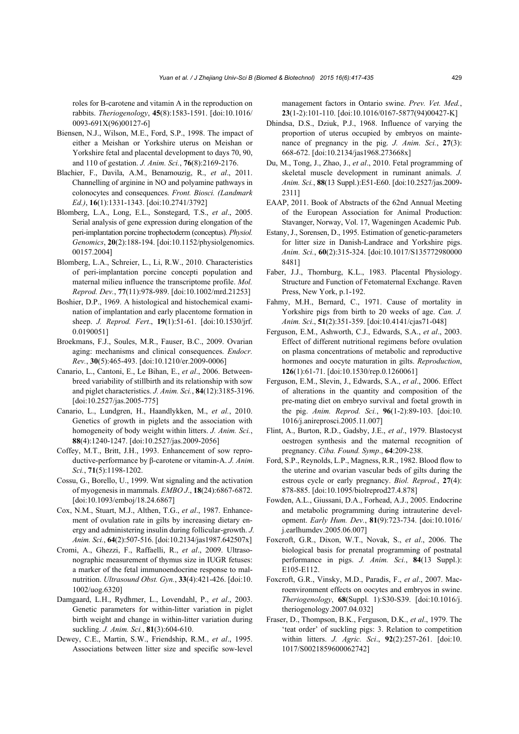roles for B-carotene and vitamin A in the reproduction on rabbits. *Theriogenology*, **45**(8):1583-1591. [doi:10.1016/ 0093-691X(96)00127-6]

- Biensen, N.J., Wilson, M.E., Ford, S.P., 1998. The impact of either a Meishan or Yorkshire uterus on Meishan or Yorkshire fetal and placental development to days 70, 90, and 110 of gestation. *J. Anim. Sci.*, **76**(8):2169-2176.
- Blachier, F., Davila, A.M., Benamouzig, R., *et al*., 2011. Channelling of arginine in NO and polyamine pathways in colonocytes and consequences. *Front. Biosci. (Landmark Ed.)*, **16**(1):1331-1343. [doi:10.2741/3792]
- Blomberg, L.A., Long, E.L., Sonstegard, T.S., *et al*., 2005. Serial analysis of gene expression during elongation of the peri-implantation porcine trophectoderm (conceptus). *Physiol. Genomics*, **20**(2):188-194. [doi:10.1152/physiolgenomics. 00157.2004]
- Blomberg, L.A., Schreier, L., Li, R.W., 2010. Characteristics of peri-implantation porcine concepti population and maternal milieu influence the transcriptome profile. *Mol. Reprod. Dev.*, **77**(11):978-989. [doi:10.1002/mrd.21253]
- Boshier, D.P., 1969. A histological and histochemical examination of implantation and early placentome formation in sheep. *J. Reprod. Fert*., **19**(1):51-61. [doi:10.1530/jrf. 0.0190051]
- Broekmans, F.J., Soules, M.R., Fauser, B.C., 2009. Ovarian aging: mechanisms and clinical consequences. *Endocr. Rev.*, **30**(5):465-493. [doi:10.1210/er.2009-0006]
- Canario, L., Cantoni, E., Le Bihan, E., *et al*., 2006. Betweenbreed variability of stillbirth and its relationship with sow and piglet characteristics. *J. Anim. Sci.*, **84**(12):3185-3196. [doi:10.2527/jas.2005-775]
- Canario, L., Lundgren, H., Haandlykken, M., *et al.*, 2010. Genetics of growth in piglets and the association with homogeneity of body weight within litters. *J. Anim. Sci.*, **88**(4):1240-1247. [doi:10.2527/jas.2009-2056]
- Coffey, M.T., Britt, J.H., 1993. Enhancement of sow reproductive-performance by β-carotene or vitamin-A. *J. Anim. Sci.*, **71**(5):1198-1202.
- Cossu, G., Borello, U., 1999. Wnt signaling and the activation of myogenesis in mammals. *EMBO J*., **18**(24):6867-6872. [doi:10.1093/emboj/18.24.6867]
- Cox, N.M., Stuart, M.J., Althen, T.G., *et al*., 1987. Enhancement of ovulation rate in gilts by increasing dietary energy and administering insulin during follicular-growth. *J. Anim. Sci.*, **64**(2):507-516. [doi:10.2134/jas1987.642507x]
- Cromi, A., Ghezzi, F., Raffaelli, R., *et al*., 2009. Ultrasonographic measurement of thymus size in IUGR fetuses: a marker of the fetal immunoendocrine response to malnutrition. *Ultrasound Obst. Gyn.*, **33**(4):421-426. [doi:10. 1002/uog.6320]
- Damgaard, L.H., Rydhmer, L., Lovendahl, P., *et al*., 2003. Genetic parameters for within-litter variation in piglet birth weight and change in within-litter variation during suckling. *J. Anim. Sci.*, **81**(3):604-610.
- Dewey, C.E., Martin, S.W., Friendship, R.M., *et al*., 1995. Associations between litter size and specific sow-level

management factors in Ontario swine. *Prev. Vet. Med.*, **23**(1-2):101-110. [doi:10.1016/0167-5877(94)00427-K]

- Dhindsa, D.S., Dziuk, P.J., 1968. Influence of varying the proportion of uterus occupied by embryos on maintenance of pregnancy in the pig. *J. Anim. Sci.*, **27**(3): 668-672. [doi:10.2134/jas1968.273668x]
- Du, M., Tong, J., Zhao, J., *et al*., 2010. Fetal programming of skeletal muscle development in ruminant animals. *J. Anim. Sci.*, **88**(13 Suppl.):E51-E60. [doi:10.2527/jas.2009- 2311]
- EAAP, 2011. Book of Abstracts of the 62nd Annual Meeting of the European Association for Animal Production: Stavanger, Norway, Vol. 17, Wageningen Academic Pub.
- Estany, J., Sorensen, D., 1995. Estimation of genetic-parameters for litter size in Danish-Landrace and Yorkshire pigs. *Anim. Sci.*, **60**(2):315-324. [doi:10.1017/S135772980000 8481]
- Faber, J.J., Thornburg, K.L., 1983. Placental Physiology. Structure and Function of Fetomaternal Exchange. Raven Press, New York, p.1-192.
- Fahmy, M.H., Bernard, C., 1971. Cause of mortality in Yorkshire pigs from birth to 20 weeks of age. *Can. J. Anim. Sci*., **51**(2):351-359. [doi:10.4141/cjas71-048]
- Ferguson, E.M., Ashworth, C.J., Edwards, S.A., *et al*., 2003. Effect of different nutritional regimens before ovulation on plasma concentrations of metabolic and reproductive hormones and oocyte maturation in gilts. *Reproduction*, **126**(1):61-71. [doi:10.1530/rep.0.1260061]
- Ferguson, E.M., Slevin, J., Edwards, S.A., *et al*., 2006. Effect of alterations in the quantity and composition of the pre-mating diet on embryo survival and foetal growth in the pig. *Anim. Reprod. Sci.*, **96**(1-2):89-103. [doi:10. 1016/j.anireprosci.2005.11.007]
- Flint, A., Burton, R.D., Gadsby, J.E., *et al*., 1979. Blastocyst oestrogen synthesis and the maternal recognition of pregnancy. *Ciba. Found. Symp*., **64**:209-238.
- Ford, S.P., Reynolds, L.P., Magness, R.R., 1982. Blood flow to the uterine and ovarian vascular beds of gilts during the estrous cycle or early pregnancy. *Biol. Reprod.*, **27**(4): 878-885. [doi:10.1095/biolreprod27.4.878]
- Fowden, A.L., Giussani, D.A., Forhead, A.J., 2005. Endocrine and metabolic programming during intrauterine development. *Early Hum. Dev.*, **81**(9):723-734. [doi:10.1016/ j.earlhumdev.2005.06.007]
- Foxcroft, G.R., Dixon, W.T., Novak, S., *et al*., 2006. The biological basis for prenatal programming of postnatal performance in pigs. *J. Anim. Sci.*, **84**(13 Suppl.): E105-E112.
- Foxcroft, G.R., Vinsky, M.D., Paradis, F., *et al*., 2007. Macroenvironment effects on oocytes and embryos in swine. *Theriogenology*, **68**(Suppl. 1):S30-S39. [doi:10.1016/j. theriogenology.2007.04.032]
- Fraser, D., Thompson, B.K., Ferguson, D.K., *et al*., 1979. The 'teat order' of suckling pigs: 3. Relation to competition within litters. *J. Agric. Sci*., **92**(2):257-261. [doi:10. 1017/S0021859600062742]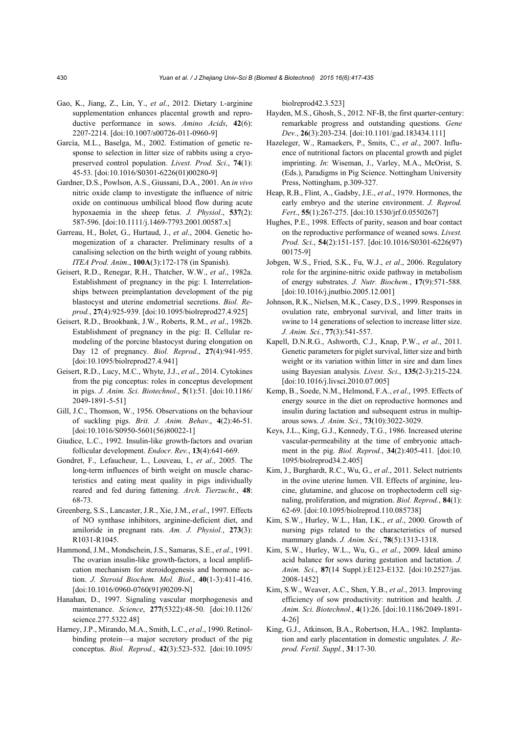- Gao, K., Jiang, Z., Lin, Y., *et al*., 2012. Dietary L-arginine supplementation enhances placental growth and reproductive performance in sows. *Amino Acids*, **42**(6): 2207-2214. [doi:10.1007/s00726-011-0960-9]
- García, M.L., Baselga, M., 2002. Estimation of genetic response to selection in litter size of rabbits using a cryopreserved control population. *Livest. Prod. Sci*., **74**(1): 45-53. [doi:10.1016/S0301-6226(01)00280-9]
- Gardner, D.S., Powlson, A.S., Giussani, D.A., 2001. An *in vivo* nitric oxide clamp to investigate the influence of nitric oxide on continuous umbilical blood flow during acute hypoxaemia in the sheep fetus. *J. Physiol*., **537**(2): 587-596. [doi:10.1111/j.1469-7793.2001.00587.x]
- Garreau, H., Bolet, G., Hurtaud, J., *et al*., 2004. Genetic homogenization of a character. Preliminary results of a canalising selection on the birth weight of young rabbits. *ITEA Prod. Anim*., **100A**(3):172-178 (in Spanish).
- Geisert, R.D., Renegar, R.H., Thatcher, W.W., *et al*., 1982a. Establishment of pregnancy in the pig: I. Interrelationships between preimplantation development of the pig blastocyst and uterine endometrial secretions. *Biol. Reprod.*, **27**(4):925-939. [doi:10.1095/biolreprod27.4.925]
- Geisert, R.D., Brookbank, J.W., Roberts, R.M., *et al*., 1982b. Establishment of pregnancy in the pig: II. Cellular remodeling of the porcine blastocyst during elongation on Day 12 of pregnancy. *Biol. Reprod.*, **27**(4):941-955. [doi:10.1095/biolreprod27.4.941]
- Geisert, R.D., Lucy, M.C., Whyte, J.J., *et al*., 2014. Cytokines from the pig conceptus: roles in conceptus development in pigs. *J. Anim. Sci. Biotechnol*., **5**(1):51. [doi:10.1186/ 2049-1891-5-51]
- Gill, J.C., Thomson, W., 1956. Observations on the behaviour of suckling pigs. *Brit. J. Anim. Behav*., **4**(2):46-51. [doi:10.1016/S0950-5601(56)80022-1]
- Giudice, L.C., 1992. Insulin-like growth-factors and ovarian follicular development. *Endocr. Rev.*, **13**(4):641-669.
- Gondret, F., Lefaucheur, L., Louveau, I., *et al*., 2005. The long-term influences of birth weight on muscle characteristics and eating meat quality in pigs individually reared and fed during fattening. *Arch. Tierzucht*., **48**: 68-73.
- Greenberg, S.S., Lancaster, J.R., Xie, J.M., *et al*., 1997. Effects of NO synthase inhibitors, arginine-deficient diet, and amiloride in pregnant rats. *Am. J. Physiol.*, **273**(3): R1031-R1045.
- Hammond, J.M., Mondschein, J.S., Samaras, S.E., *et al*., 1991. The ovarian insulin-like growth-factors, a local amplification mechanism for steroidogenesis and hormone action. *J. Steroid Biochem. Mol. Biol.*, **40**(1-3):411-416. [doi:10.1016/0960-0760(91)90209-N]
- Hanahan, D., 1997. Signaling vascular morphogenesis and maintenance. *Science*, **277**(5322):48-50. [doi:10.1126/ science.277.5322.48]
- Harney, J.P., Mirando, M.A., Smith, L.C., *et al*., 1990. Retinolbinding protein—a major secretory product of the pig conceptus. *Biol. Reprod.*, **42**(3):523-532. [doi:10.1095/

biolreprod42.3.523]

- Hayden, M.S., Ghosh, S., 2012. NF-B, the first quarter-century: remarkable progress and outstanding questions. *Gene Dev.*, **26**(3):203-234. [doi:10.1101/gad.183434.111]
- Hazeleger, W., Ramaekers, P., Smits, C., *et al*., 2007. Influence of nutritional factors on placental growth and piglet imprinting. *In*: Wiseman, J., Varley, M.A., McOrist, S. (Eds.), Paradigms in Pig Science. Nottingham University Press, Nottingham, p.309-327.
- Heap, R.B., Flint, A., Gadsby, J.E., *et al*., 1979. Hormones, the early embryo and the uterine environment. *J. Reprod. Fert*., **55**(1):267-275. [doi:10.1530/jrf.0.0550267]
- Hughes, P.E., 1998. Effects of parity, season and boar contact on the reproductive performance of weaned sows. *Livest. Prod. Sci.*, **54**(2):151-157. [doi:10.1016/S0301-6226(97) 00175-9]
- Jobgen, W.S., Fried, S.K., Fu, W.J., *et al*., 2006. Regulatory role for the arginine-nitric oxide pathway in metabolism of energy substrates. *J. Nutr. Biochem.*, **17**(9):571-588. [doi:10.1016/j.jnutbio.2005.12.001]
- Johnson, R.K., Nielsen, M.K., Casey, D.S., 1999. Responses in ovulation rate, embryonal survival, and litter traits in swine to 14 generations of selection to increase litter size. *J. Anim. Sci.*, **77**(3):541-557.
- Kapell, D.N.R.G., Ashworth, C.J., Knap, P.W., *et al*., 2011. Genetic parameters for piglet survival, litter size and birth weight or its variation within litter in sire and dam lines using Bayesian analysis. *Livest. Sci*., **135**(2-3):215-224. [doi:10.1016/j.livsci.2010.07.005]
- Kemp, B., Soede, N.M., Helmond, F.A., *et al*., 1995. Effects of energy source in the diet on reproductive hormones and insulin during lactation and subsequent estrus in multiparous sows. *J. Anim. Sci.*, **73**(10):3022-3029.
- Keys, J.L., King, G.J., Kennedy, T.G., 1986. Increased uterine vascular-permeability at the time of embryonic attachment in the pig. *Biol. Reprod.*, **34**(2):405-411. [doi:10. 1095/biolreprod34.2.405]
- Kim, J., Burghardt, R.C., Wu, G., *et al*., 2011. Select nutrients in the ovine uterine lumen. VII. Effects of arginine, leucine, glutamine, and glucose on trophectoderm cell signaling, proliferation, and migration. *Biol. Reprod.*, **84**(1): 62-69. [doi:10.1095/biolreprod.110.085738]
- Kim, S.W., Hurley, W.L., Han, I.K., *et al*., 2000. Growth of nursing pigs related to the characteristics of nursed mammary glands. *J. Anim. Sci.*, **78**(5):1313-1318.
- Kim, S.W., Hurley, W.L., Wu, G., *et al*., 2009. Ideal amino acid balance for sows during gestation and lactation. *J. Anim. Sci.*, **87**(14 Suppl.):E123-E132. [doi:10.2527/jas. 2008-1452]
- Kim, S.W., Weaver, A.C., Shen, Y.B., *et al*., 2013. Improving efficiency of sow productivity: nutrition and health. *J. Anim. Sci. Biotechnol.*, **4**(1):26. [doi:10.1186/2049-1891- 4-26]
- King, G.J., Atkinson, B.A., Robertson, H.A., 1982. Implantation and early placentation in domestic ungulates. *J. Reprod. Fertil. Suppl.*, **31**:17-30.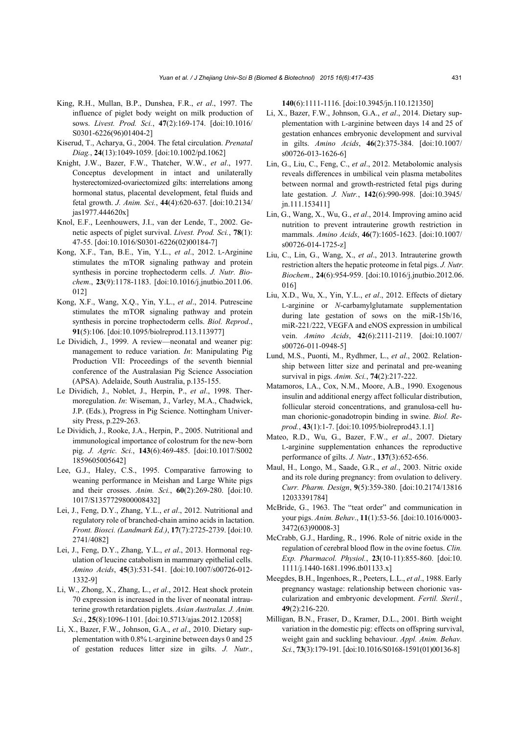- King, R.H., Mullan, B.P., Dunshea, F.R., *et al*., 1997. The influence of piglet body weight on milk production of sows. *Livest. Prod. Sci.*, **47**(2):169-174. [doi:10.1016/ S0301-6226(96)01404-2]
- Kiserud, T., Acharya, G., 2004. The fetal circulation. *Prenatal Diag.*, **24**(13):1049-1059. [doi:10.1002/pd.1062]
- Knight, J.W., Bazer, F.W., Thatcher, W.W., *et al*., 1977. Conceptus development in intact and unilaterally hysterectomized-ovariectomized gilts: interrelations among hormonal status, placental development, fetal fluids and fetal growth. *J. Anim. Sci.*, **44**(4):620-637. [doi:10.2134/ jas1977.444620x]
- Knol, E.F., Leenhouwers, J.I., van der Lende, T., 2002. Genetic aspects of piglet survival. *Livest. Prod. Sci.*, **78**(1): 47-55. [doi:10.1016/S0301-6226(02)00184-7]
- Kong, X.F., Tan, B.E., Yin, Y.L., *et al*., 2012. L-Arginine stimulates the mTOR signaling pathway and protein synthesis in porcine trophectoderm cells. *J. Nutr. Biochem*., **23**(9):1178-1183. [doi:10.1016/j.jnutbio.2011.06. 012]
- Kong, X.F., Wang, X.Q., Yin, Y.L., *et al*., 2014. Putrescine stimulates the mTOR signaling pathway and protein synthesis in porcine trophectoderm cells. *Biol. Reprod*., **91**(5):106. [doi:10.1095/biolreprod.113.113977]
- Le Dividich, J., 1999. A review—neonatal and weaner pig: management to reduce variation. *In*: Manipulating Pig Production VII: Proceedings of the seventh biennial conference of the Australasian Pig Science Association (APSA). Adelaide, South Australia, p.135-155.
- Le Dividich, J., Noblet, J., Herpin, P., *et al*., 1998. Thermoregulation. *In*: Wiseman, J., Varley, M.A., Chadwick, J.P. (Eds.), Progress in Pig Science. Nottingham University Press, p.229-263.
- Le Dividich, J., Rooke, J.A., Herpin, P., 2005. Nutritional and immunological importance of colostrum for the new-born pig. *J. Agric. Sci.*, **143**(6):469-485. [doi:10.1017/S002 1859605005642]
- Lee, G.J., Haley, C.S., 1995. Comparative farrowing to weaning performance in Meishan and Large White pigs and their crosses. *Anim. Sci.*, **60**(2):269-280. [doi:10. 1017/S1357729800008432]
- Lei, J., Feng, D.Y., Zhang, Y.L., *et al*., 2012. Nutritional and regulatory role of branched-chain amino acids in lactation. *Front. Biosci. (Landmark Ed.)*, **17**(7):2725-2739. [doi:10. 2741/4082]
- Lei, J., Feng, D.Y., Zhang, Y.L., *et al*., 2013. Hormonal regulation of leucine catabolism in mammary epithelial cells. *Amino Acids*, **45**(3):531-541. [doi:10.1007/s00726-012- 1332-9]
- Li, W., Zhong, X., Zhang, L., *et al*., 2012. Heat shock protein 70 expression is increased in the liver of neonatal intrauterine growth retardation piglets. *Asian Australas. J. Anim. Sci.*, **25**(8):1096-1101. [doi:10.5713/ajas.2012.12058]
- Li, X., Bazer, F.W., Johnson, G.A., *et al*., 2010. Dietary supplementation with 0.8% L-arginine between days 0 and 25 of gestation reduces litter size in gilts. *J. Nutr.*,

**140**(6):1111-1116. [doi:10.3945/jn.110.121350]

- Li, X., Bazer, F.W., Johnson, G.A., *et al*., 2014. Dietary supplementation with L-arginine between days 14 and 25 of gestation enhances embryonic development and survival in gilts. *Amino Acids*, **46**(2):375-384. [doi:10.1007/ s00726-013-1626-6]
- Lin, G., Liu, C., Feng, C., *et al*., 2012. Metabolomic analysis reveals differences in umbilical vein plasma metabolites between normal and growth-restricted fetal pigs during late gestation. *J. Nutr.*, **142**(6):990-998. [doi:10.3945/ jn.111.153411]
- Lin, G., Wang, X., Wu, G., *et al*., 2014. Improving amino acid nutrition to prevent intrauterine growth restriction in mammals. *Amino Acids*, **46**(7):1605-1623. [doi:10.1007/ s00726-014-1725-z]
- Liu, C., Lin, G., Wang, X., *et al*., 2013. Intrauterine growth restriction alters the hepatic proteome in fetal pigs. *J. Nutr. Biochem*., **24**(6):954-959. [doi:10.1016/j.jnutbio.2012.06. 016]
- Liu, X.D., Wu, X., Yin, Y.L., *et al*., 2012. Effects of dietary L-arginine or *N*-carbamylglutamate supplementation during late gestation of sows on the miR-15b/16, miR-221/222, VEGFA and eNOS expression in umbilical vein. *Amino Acids*, **42**(6):2111-2119. [doi:10.1007/ s00726-011-0948-5]
- Lund, M.S., Puonti, M., Rydhmer, L., *et al*., 2002. Relationship between litter size and perinatal and pre-weaning survival in pigs. *Anim. Sci.*, **74**(2):217-222.
- Matamoros, I.A., Cox, N.M., Moore, A.B., 1990. Exogenous insulin and additional energy affect follicular distribution, follicular steroid concentrations, and granulosa-cell human chorionic-gonadotropin binding in swine. *Biol. Reprod.*, **43**(1):1-7. [doi:10.1095/biolreprod43.1.1]
- Mateo, R.D., Wu, G., Bazer, F.W., *et al*., 2007. Dietary L-arginine supplementation enhances the reproductive performance of gilts. *J. Nutr.*, **137**(3):652-656.
- Maul, H., Longo, M., Saade, G.R., *et al*., 2003. Nitric oxide and its role during pregnancy: from ovulation to delivery. *Curr. Pharm. Design*, **9**(5):359-380. [doi:10.2174/13816 12033391784]
- McBride, G., 1963. The "teat order" and communication in your pigs. *Anim. Behav*., **11**(1):53-56. [doi:10.1016/0003- 3472(63)90008-3]
- McCrabb, G.J., Harding, R., 1996. Role of nitric oxide in the regulation of cerebral blood flow in the ovine foetus. *Clin. Exp. Pharmacol. Physiol.*, **23**(10-11):855-860. [doi:10. 1111/j.1440-1681.1996.tb01133.x]
- Meegdes, B.H., Ingenhoes, R., Peeters, L.L., *et al*., 1988. Early pregnancy wastage: relationship between chorionic vascularization and embryonic development. *Fertil. Steril.*, **49**(2):216-220.
- Milligan, B.N., Fraser, D., Kramer, D.L., 2001. Birth weight variation in the domestic pig: effects on offspring survival, weight gain and suckling behaviour. *Appl. Anim. Behav. Sci.*, **73**(3):179-191. [doi:10.1016/S0168-1591(01)00136-8]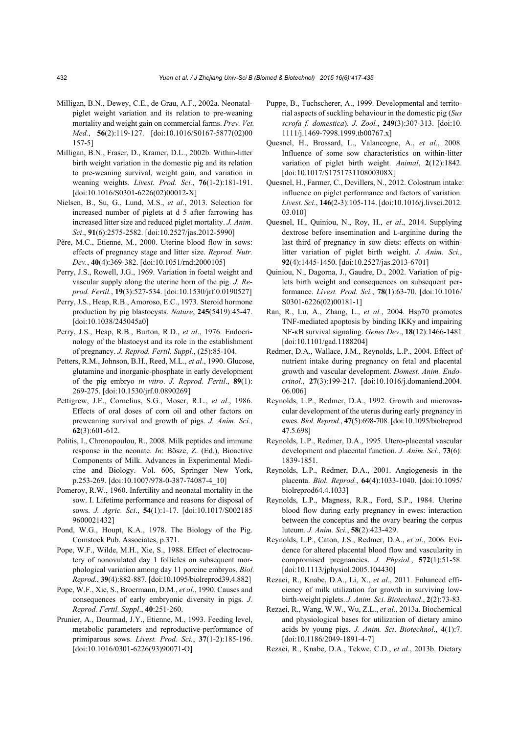- Milligan, B.N., Dewey, C.E., de Grau, A.F., 2002a. Neonatalpiglet weight variation and its relation to pre-weaning mortality and weight gain on commercial farms. *Prev. Vet. Med.*, **56**(2):119-127. [doi:10.1016/S0167-5877(02)00 157-5]
- Milligan, B.N., Fraser, D., Kramer, D.L., 2002b. Within-litter birth weight variation in the domestic pig and its relation to pre-weaning survival, weight gain, and variation in weaning weights. *Livest. Prod. Sci.*, **76**(1-2):181-191. [doi:10.1016/S0301-6226(02)00012-X]
- Nielsen, B., Su, G., Lund, M.S., *et al*., 2013. Selection for increased number of piglets at d 5 after farrowing has increased litter size and reduced piglet mortality. *J. Anim. Sci*., **91**(6):2575-2582. [doi:10.2527/jas.2012-5990]
- Père, M.C., Etienne, M., 2000. Uterine blood flow in sows: effects of pregnancy stage and litter size. *Reprod. Nutr. Dev.*, **40**(4):369-382. [doi:10.1051/rnd:2000105]
- Perry, J.S., Rowell, J.G., 1969. Variation in foetal weight and vascular supply along the uterine horn of the pig. *J. Reprod. Fertil.*, **19**(3):527-534. [doi:10.1530/jrf.0.0190527]
- Perry, J.S., Heap, R.B., Amoroso, E.C., 1973. Steroid hormone production by pig blastocysts. *Nature*, **245**(5419):45-47. [doi:10.1038/245045a0]
- Perry, J.S., Heap, R.B., Burton, R.D., *et al*., 1976. Endocrinology of the blastocyst and its role in the establishment of pregnancy. *J. Reprod. Fertil. Suppl.*, (25):85-104.
- Petters, R.M., Johnson, B.H., Reed, M.L., *et al*., 1990. Glucose, glutamine and inorganic-phosphate in early development of the pig embryo *in vitro*. *J. Reprod. Fertil*., **89**(1): 269-275. [doi:10.1530/jrf.0.0890269]
- Pettigrew, J.E., Cornelius, S.G., Moser, R.L., *et al*., 1986. Effects of oral doses of corn oil and other factors on preweaning survival and growth of pigs. *J. Anim. Sci.*, **62**(3):601-612.
- Politis, I., Chronopoulou, R., 2008. Milk peptides and immune response in the neonate. *In*: Bösze, Z. (Ed.), Bioactive Components of Milk. Advances in Experimental Medicine and Biology. Vol. 606, Springer New York, p.253-269. [doi:10.1007/978-0-387-74087-4\_10]
- Pomeroy, R.W., 1960. Infertility and neonatal mortality in the sow. I. Lifetime performance and reasons for disposal of sows. *J. Agric. Sci*., **54**(1):1-17. [doi:10.1017/S002185 9600021432]
- Pond, W.G., Houpt, K.A., 1978. The Biology of the Pig. Comstock Pub. Associates, p.371.
- Pope, W.F., Wilde, M.H., Xie, S., 1988. Effect of electrocautery of nonovulated day 1 follicles on subsequent morphological variation among day 11 porcine embryos. *Biol. Reprod.*, **39**(4):882-887. [doi:10.1095/biolreprod39.4.882]
- Pope, W.F., Xie, S., Broermann, D.M., *et al*., 1990. Causes and consequences of early embryonic diversity in pigs. *J. Reprod. Fertil. Suppl*., **40**:251-260.
- Prunier, A., Dourmad, J.Y., Etienne, M., 1993. Feeding level, metabolic parameters and reproductive-performance of primiparous sows. *Livest. Prod. Sci.*, **37**(1-2):185-196. [doi:10.1016/0301-6226(93)90071-O]
- Puppe, B., Tuchscherer, A., 1999. Developmental and territorial aspects of suckling behaviour in the domestic pig (*Sus scrofa f. domestica*). *J. Zool.*, **249**(3):307-313. [doi:10. 1111/j.1469-7998.1999.tb00767.x]
- Quesnel, H., Brossard, L., Valancogne, A., *et al*., 2008. Influence of some sow characteristics on within-litter variation of piglet birth weight. *Animal*, **2**(12):1842. [doi:10.1017/S175173110800308X]
- Quesnel, H., Farmer, C., Devillers, N., 2012. Colostrum intake: influence on piglet performance and factors of variation. *Livest. Sci*., **146**(2-3):105-114. [doi:10.1016/j.livsci.2012. 03.010]
- Quesnel, H., Quiniou, N., Roy, H., *et al*., 2014. Supplying dextrose before insemination and L-arginine during the last third of pregnancy in sow diets: effects on withinlitter variation of piglet birth weight. *J. Anim. Sci.*, **92**(4):1445-1450. [doi:10.2527/jas.2013-6701]
- Quiniou, N., Dagorna, J., Gaudre, D., 2002. Variation of piglets birth weight and consequences on subsequent performance. *Livest. Prod. Sci.*, **78**(1):63-70. [doi:10.1016/ S0301-6226(02)00181-1]
- Ran, R., Lu, A., Zhang, L., *et al.*, 2004. Hsp70 promotes TNF-mediated apoptosis by binding  $IKK\gamma$  and impairing NF-κB survival signaling. *Genes Dev*., **18**(12):1466-1481. [doi:10.1101/gad.1188204]
- Redmer, D.A., Wallace, J.M., Reynolds, L.P., 2004. Effect of nutrient intake during pregnancy on fetal and placental growth and vascular development. *Domest. Anim. Endocrinol.*, **27**(3):199-217. [doi:10.1016/j.domaniend.2004. 06.006]
- Reynolds, L.P., Redmer, D.A., 1992. Growth and microvascular development of the uterus during early pregnancy in ewes. *Biol. Reprod.*, **47**(5):698-708. [doi:10.1095/biolreprod 47.5.698]
- Reynolds, L.P., Redmer, D.A., 1995. Utero-placental vascular development and placental function. *J. Anim. Sci.*, **73**(6): 1839-1851.
- Reynolds, L.P., Redmer, D.A., 2001. Angiogenesis in the placenta. *Biol. Reprod.*, **64**(4):1033-1040. [doi:10.1095/ biolreprod64.4.1033]
- Reynolds, L.P., Magness, R.R., Ford, S.P., 1984. Uterine blood flow during early pregnancy in ewes: interaction between the conceptus and the ovary bearing the corpus luteum. *J. Anim. Sci.*, **58**(2):423-429.
- Reynolds, L.P., Caton, J.S., Redmer, D.A., *et al*., 2006. Evidence for altered placental blood flow and vascularity in compromised pregnancies. *J. Physiol.*, **572**(1):51-58. [doi:10.1113/jphysiol.2005.104430]
- Rezaei, R., Knabe, D.A., Li, X., *et al*., 2011. Enhanced efficiency of milk utilization for growth in surviving lowbirth-weight piglets. *J. Anim. Sci. Biotechnol*., **2**(2):73-83.
- Rezaei, R., Wang, W.W., Wu, Z.L., *et al*., 2013a. Biochemical and physiological bases for utilization of dietary amino acids by young pigs. *J. Anim. Sci*. *Biotechnol*., **4**(1):7. [doi:10.1186/2049-1891-4-7]
- Rezaei, R., Knabe, D.A., Tekwe, C.D., *et al*., 2013b. Dietary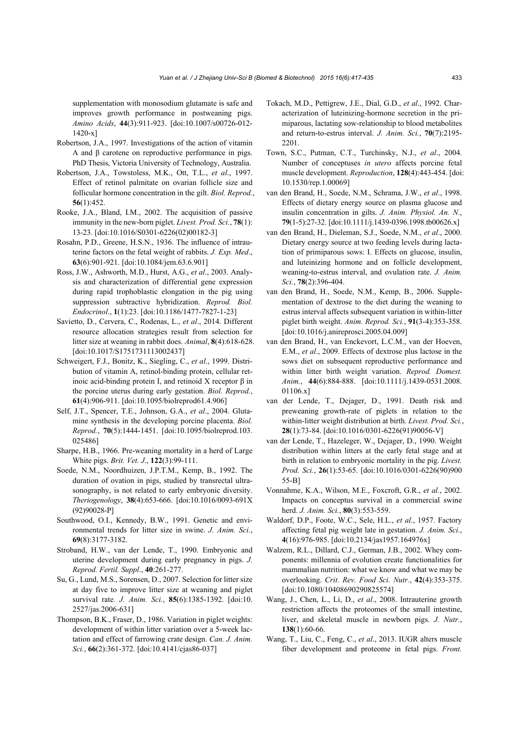supplementation with monosodium glutamate is safe and improves growth performance in postweaning pigs. *Amino Acids*, **44**(3):911-923. [doi:10.1007/s00726-012- 1420-x]

- Robertson, J.A., 1997. Investigations of the action of vitamin A and β carotene on reproductive performance in pigs. PhD Thesis, Victoria University of Technology, Australia.
- Robertson, J.A., Towstoless, M.K., Ott, T.L., *et al*., 1997. Effect of retinol palmitate on ovarian follicle size and follicular hormone concentration in the gilt. *Biol. Reprod.*, **56**(1):452.
- Rooke, J.A., Bland, I.M., 2002. The acquisition of passive immunity in the new-born piglet. *Livest. Prod. Sci.*, **78**(1): 13-23. [doi:10.1016/S0301-6226(02)00182-3]
- Rosahn, P.D., Greene, H.S.N., 1936. The influence of intrauterine factors on the fetal weight of rabbits. *J. Exp. Med*., **63**(6):901-921. [doi:10.1084/jem.63.6.901]
- Ross, J.W., Ashworth, M.D., Hurst, A.G., *et al*., 2003. Analysis and characterization of differential gene expression during rapid trophoblastic elongation in the pig using suppression subtractive hybridization. *Reprod. Biol. Endocrinol*., **1**(1):23. [doi:10.1186/1477-7827-1-23]
- Savietto, D., Cervera, C., Rodenas, L., *et al*., 2014. Different resource allocation strategies result from selection for litter size at weaning in rabbit does. *Animal*, **8**(4):618-628. [doi:10.1017/S1751731113002437]
- Schweigert, F.J., Bonitz, K., Siegling, C., *et al*., 1999. Distribution of vitamin A, retinol-binding protein, cellular retinoic acid-binding protein I, and retinoid X receptor β in the porcine uterus during early gestation. *Biol. Reprod.*, **61**(4):906-911. [doi:10.1095/biolreprod61.4.906]
- Self, J.T., Spencer, T.E., Johnson, G.A., *et al*., 2004. Glutamine synthesis in the developing porcine placenta. *Biol. Reprod.*, **70**(5):1444-1451. [doi:10.1095/biolreprod.103. 025486]
- Sharpe, H.B., 1966. Pre-weaning mortality in a herd of Large White pigs. *Brit. Vet. J*., **122**(3):99-111.
- Soede, N.M., Noordhuizen, J.P.T.M., Kemp, B., 1992. The duration of ovation in pigs, studied by transrectal ultrasonography, is not related to early embryonic diversity. *Theriogenology*, **38**(4):653-666. [doi:10.1016/0093-691X (92)90028-P]
- Southwood, O.I., Kennedy, B.W., 1991. Genetic and environmental trends for litter size in swine. *J. Anim. Sci.*, **69**(8):3177-3182.
- Stroband, H.W., van der Lende, T., 1990. Embryonic and uterine development during early pregnancy in pigs. *J. Reprod. Fertil. Suppl*., **40**:261-277.
- Su, G., Lund, M.S., Sorensen, D., 2007. Selection for litter size at day five to improve litter size at weaning and piglet survival rate. *J. Anim. Sci.*, **85**(6):1385-1392. [doi:10. 2527/jas.2006-631]
- Thompson, B.K., Fraser, D., 1986. Variation in piglet weights: development of within litter variation over a 5-week lactation and effect of farrowing crate design. *Can. J. Anim. Sci.*, **66**(2):361-372. [doi:10.4141/cjas86-037]
- Tokach, M.D., Pettigrew, J.E., Dial, G.D., *et al*., 1992. Characterization of luteinizing-hormone secretion in the primiparous, lactating sow-relationship to blood metabolites and return-to-estrus interval. *J. Anim. Sci.*, **70**(7):2195- 2201.
- Town, S.C., Putman, C.T., Turchinsky, N.J., *et al*., 2004. Number of conceptuses *in utero* affects porcine fetal muscle development. *Reproduction*, **128**(4):443-454. [doi: 10.1530/rep.1.00069]
- van den Brand, H., Soede, N.M., Schrama, J.W., *et al*., 1998. Effects of dietary energy source on plasma glucose and insulin concentration in gilts. *J. Anim. Physiol. An. N.*, **79**(1-5):27-32. [doi:10.1111/j.1439-0396.1998.tb00626.x]
- van den Brand, H., Dieleman, S.J., Soede, N.M., *et al*., 2000. Dietary energy source at two feeding levels during lactation of primiparous sows: I. Effects on glucose, insulin, and luteinizing hormone and on follicle development, weaning-to-estrus interval, and ovulation rate. *J. Anim. Sci.*, **78**(2):396-404.
- van den Brand, H., Soede, N.M., Kemp, B., 2006. Supplementation of dextrose to the diet during the weaning to estrus interval affects subsequent variation in within-litter piglet birth weight. *Anim. Reprod. Sci.*, **91**(3-4):353-358. [doi:10.1016/j.anireprosci.2005.04.009]
- van den Brand, H., van Enckevort, L.C.M., van der Hoeven, E.M., *et al*., 2009. Effects of dextrose plus lactose in the sows diet on subsequent reproductive performance and within litter birth weight variation. *Reprod. Domest. Anim.*, **44**(6):884-888. [doi:10.1111/j.1439-0531.2008. 01106.x]
- van der Lende, T., Dejager, D., 1991. Death risk and preweaning growth-rate of piglets in relation to the within-litter weight distribution at birth. *Livest. Prod. Sci.*, **28**(1):73-84. [doi:10.1016/0301-6226(91)90056-V]
- van der Lende, T., Hazeleger, W., Dejager, D., 1990. Weight distribution within litters at the early fetal stage and at birth in relation to embryonic mortality in the pig. *Livest. Prod. Sci.*, **26**(1):53-65. [doi:10.1016/0301-6226(90)900 55-B]
- Vonnahme, K.A., Wilson, M.E., Foxcroft, G.R., *et al.*, 2002. Impacts on conceptus survival in a commercial swine herd. *J. Anim. Sci.*, **80**(3):553-559.
- Waldorf, D.P., Foote, W.C., Sele, H.L., *et al*., 1957. Factory affecting fetal pig weight late in gestation. *J. Anim. Sci*., **4**(16):976-985. [doi:10.2134/jas1957.164976x]
- Walzem, R.L., Dillard, C.J., German, J.B., 2002. Whey components: millennia of evolution create functionalities for mammalian nutrition: what we know and what we may be overlooking. *Crit. Rev. Food Sci. Nutr.*, **42**(4):353-375. [doi:10.1080/10408690290825574]
- Wang, J., Chen, L., Li, D., *et al*., 2008. Intrauterine growth restriction affects the proteomes of the small intestine, liver, and skeletal muscle in newborn pigs. *J. Nutr.*, **138**(1):60-66.
- Wang, T., Liu, C., Feng, C., *et al*., 2013. IUGR alters muscle fiber development and proteome in fetal pigs. *Front.*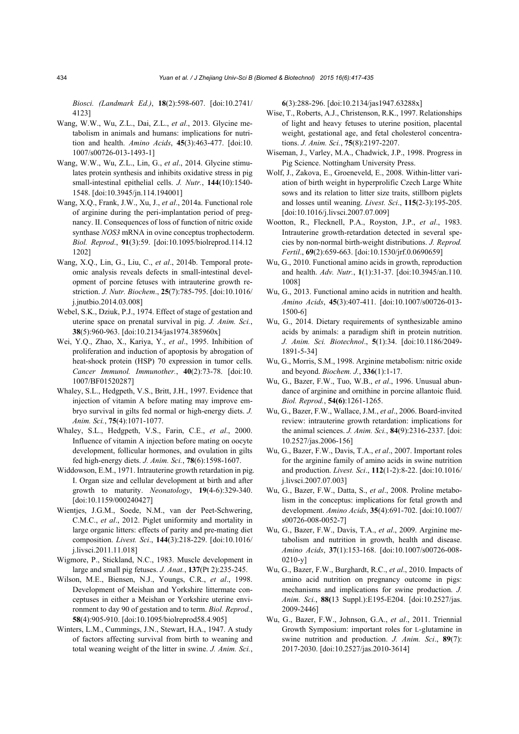*Biosci. (Landmark Ed.)*, **18**(2):598-607. [doi:10.2741/ 4123]

- Wang, W.W., Wu, Z.L., Dai, Z.L., *et al*., 2013. Glycine metabolism in animals and humans: implications for nutrition and health. *Amino Acids*, **45**(3):463-477. [doi:10. 1007/s00726-013-1493-1]
- Wang, W.W., Wu, Z.L., Lin, G., *et al*., 2014. Glycine stimulates protein synthesis and inhibits oxidative stress in pig small-intestinal epithelial cells. *J. Nutr.*, **144**(10):1540- 1548. [doi:10.3945/jn.114.194001]
- Wang, X.Q., Frank, J.W., Xu, J., *et al*., 2014a. Functional role of arginine during the peri-implantation period of pregnancy. II. Consequences of loss of function of nitric oxide synthase *NOS3* mRNA in ovine conceptus trophectoderm. *Biol. Reprod*., **91**(3):59. [doi:10.1095/biolreprod.114.12 1202]
- Wang, X.Q., Lin, G., Liu, C., *et al*., 2014b. Temporal proteomic analysis reveals defects in small-intestinal development of porcine fetuses with intrauterine growth restriction. *J. Nutr. Biochem*., **25**(7):785-795. [doi:10.1016/ j.jnutbio.2014.03.008]
- Webel, S.K., Dziuk, P.J., 1974. Effect of stage of gestation and uterine space on prenatal survival in pig. *J. Anim. Sci.*, **38**(5):960-963. [doi:10.2134/jas1974.385960x]
- Wei, Y.Q., Zhao, X., Kariya, Y., *et al*., 1995. Inhibition of proliferation and induction of apoptosis by abrogation of heat-shock protein (HSP) 70 expression in tumor cells. *Cancer Immunol. Immunother.*, **40**(2):73-78. [doi:10. 1007/BF01520287]
- Whaley, S.L., Hedgpeth, V.S., Britt, J.H., 1997. Evidence that injection of vitamin A before mating may improve embryo survival in gilts fed normal or high-energy diets. *J. Anim. Sci.*, **75**(4):1071-1077.
- Whaley, S.L., Hedgpeth, V.S., Farin, C.E., *et al*., 2000. Influence of vitamin A injection before mating on oocyte development, follicular hormones, and ovulation in gilts fed high-energy diets. *J. Anim. Sci.*, **78**(6):1598-1607.
- Widdowson, E.M., 1971. Intrauterine growth retardation in pig. I. Organ size and cellular development at birth and after growth to maturity. *Neonatology*, **19**(4-6):329-340. [doi:10.1159/000240427]
- Wientjes, J.G.M., Soede, N.M., van der Peet-Schwering, C.M.C., *et al*., 2012. Piglet uniformity and mortality in large organic litters: effects of parity and pre-mating diet composition. *Livest. Sci*., **144**(3):218-229. [doi:10.1016/ j.livsci.2011.11.018]
- Wigmore, P., Stickland, N.C., 1983. Muscle development in large and small pig fetuses. *J. Anat.*, **137**(Pt 2):235-245.
- Wilson, M.E., Biensen, N.J., Youngs, C.R., *et al*., 1998. Development of Meishan and Yorkshire littermate conceptuses in either a Meishan or Yorkshire uterine environment to day 90 of gestation and to term. *Biol. Reprod.*, **58**(4):905-910. [doi:10.1095/biolreprod58.4.905]
- Winters, L.M., Cummings, J.N., Stewart, H.A., 1947. A study of factors affecting survival from birth to weaning and total weaning weight of the litter in swine. *J. Anim. Sci.*,

**6**(3):288-296. [doi:10.2134/jas1947.63288x]

- Wise, T., Roberts, A.J., Christenson, R.K., 1997. Relationships of light and heavy fetuses to uterine position, placental weight, gestational age, and fetal cholesterol concentrations. *J. Anim. Sci.*, **75**(8):2197-2207.
- Wiseman, J., Varley, M.A., Chadwick, J.P., 1998. Progress in Pig Science. Nottingham University Press.
- Wolf, J., Zakova, E., Groeneveld, E., 2008. Within-litter variation of birth weight in hyperprolific Czech Large White sows and its relation to litter size traits, stillborn piglets and losses until weaning. *Livest. Sci*., **115**(2-3):195-205. [doi:10.1016/j.livsci.2007.07.009]
- Wootton, R., Flecknell, P.A., Royston, J.P., *et al*., 1983. Intrauterine growth-retardation detected in several species by non-normal birth-weight distributions. *J. Reprod. Fertil*., **69**(2):659-663. [doi:10.1530/jrf.0.0690659]
- Wu, G., 2010. Functional amino acids in growth, reproduction and health. *Adv. Nutr.*, **1**(1):31-37. [doi:10.3945/an.110. 1008]
- Wu, G., 2013. Functional amino acids in nutrition and health. *Amino Acids*, **45**(3):407-411. [doi:10.1007/s00726-013- 1500-6]
- Wu, G., 2014. Dietary requirements of synthesizable amino acids by animals: a paradigm shift in protein nutrition. *J. Anim. Sci. Biotechnol*., **5**(1):34. [doi:10.1186/2049- 1891-5-34]
- Wu, G., Morris, S.M., 1998. Arginine metabolism: nitric oxide and beyond. *Biochem. J.*, **336**(1):1-17.
- Wu, G., Bazer, F.W., Tuo, W.B., *et al*., 1996. Unusual abundance of arginine and ornithine in porcine allantoic fluid. *Biol. Reprod.*, **54(6)**:1261-1265.
- Wu, G., Bazer, F.W., Wallace, J.M., *et al*., 2006. Board-invited review: intrauterine growth retardation: implications for the animal sciences. *J. Anim. Sci.*, **84**(9):2316-2337. [doi: 10.2527/jas.2006-156]
- Wu, G., Bazer, F.W., Davis, T.A., *et al*., 2007. Important roles for the arginine family of amino acids in swine nutrition and production. *Livest. Sci*., **112**(1-2):8-22. [doi:10.1016/ j.livsci.2007.07.003]
- Wu, G., Bazer, F.W., Datta, S., *et al*., 2008. Proline metabolism in the conceptus: implications for fetal growth and development. *Amino Acids*, **35**(4):691-702. [doi:10.1007/ s00726-008-0052-7]
- Wu, G., Bazer, F.W., Davis, T.A., *et al*., 2009. Arginine metabolism and nutrition in growth, health and disease. *Amino Acids*, **37**(1):153-168. [doi:10.1007/s00726-008- 0210-y]
- Wu, G., Bazer, F.W., Burghardt, R.C., *et al*., 2010. Impacts of amino acid nutrition on pregnancy outcome in pigs: mechanisms and implications for swine production. *J. Anim. Sci.*, **88(**13 Suppl.):E195-E204. [doi:10.2527/jas. 2009-2446]
- Wu, G., Bazer, F.W., Johnson, G.A., *et al*., 2011. Triennial Growth Symposium: important roles for L-glutamine in swine nutrition and production. *J. Anim. Sci*., **89**(7): 2017-2030. [doi:10.2527/jas.2010-3614]